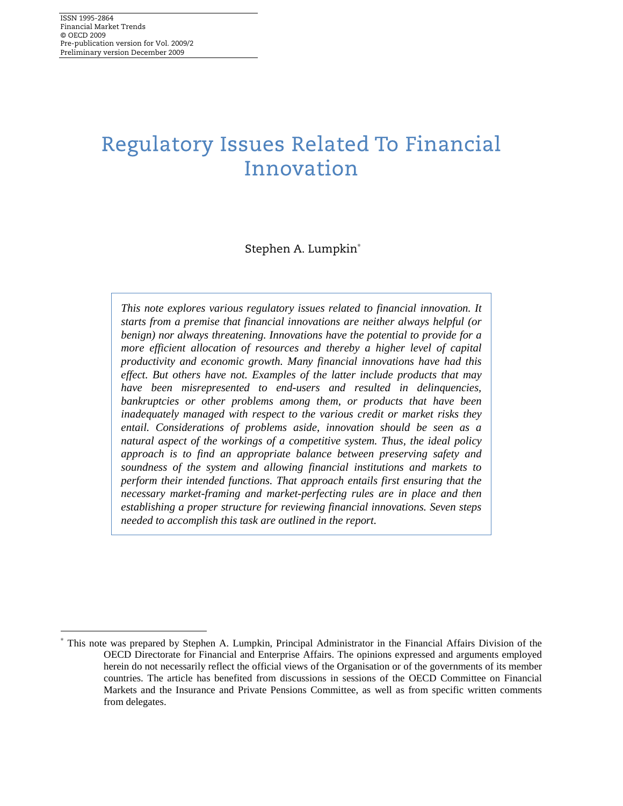<u>.</u>

# Regulatory Issues Related To Financial Innovation

Stephen A. Lumpkin<sup>∗</sup>

*This note explores various regulatory issues related to financial innovation. It starts from a premise that financial innovations are neither always helpful (or benign) nor always threatening. Innovations have the potential to provide for a more efficient allocation of resources and thereby a higher level of capital productivity and economic growth. Many financial innovations have had this effect. But others have not. Examples of the latter include products that may have been misrepresented to end-users and resulted in delinquencies, bankruptcies or other problems among them, or products that have been inadequately managed with respect to the various credit or market risks they entail. Considerations of problems aside, innovation should be seen as a natural aspect of the workings of a competitive system. Thus, the ideal policy approach is to find an appropriate balance between preserving safety and soundness of the system and allowing financial institutions and markets to perform their intended functions. That approach entails first ensuring that the necessary market-framing and market-perfecting rules are in place and then establishing a proper structure for reviewing financial innovations. Seven steps needed to accomplish this task are outlined in the report.* 

<sup>∗</sup> This note was prepared by Stephen A. Lumpkin, Principal Administrator in the Financial Affairs Division of the OECD Directorate for Financial and Enterprise Affairs. The opinions expressed and arguments employed herein do not necessarily reflect the official views of the Organisation or of the governments of its member countries. The article has benefited from discussions in sessions of the OECD Committee on Financial Markets and the Insurance and Private Pensions Committee, as well as from specific written comments from delegates.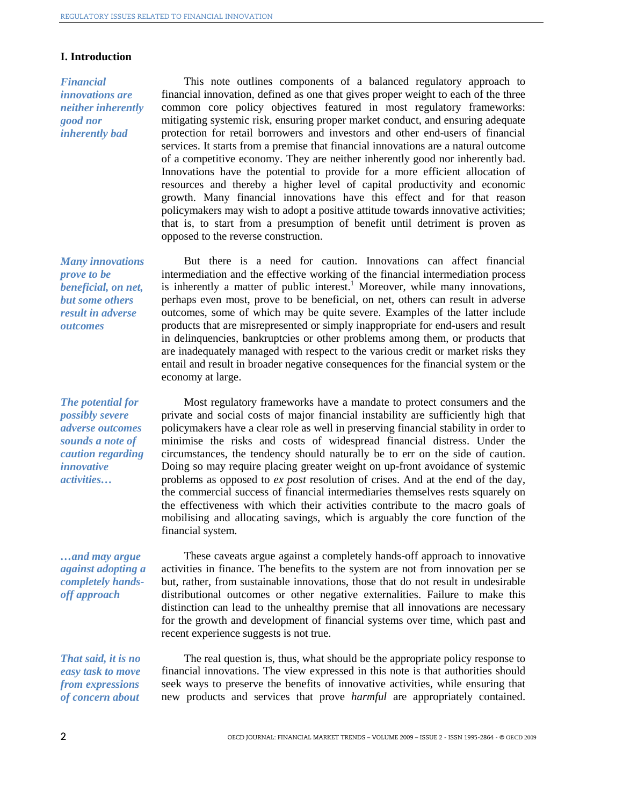opposed to the reverse construction.

economy at large.

### **I. Introduction**

*Financial innovations are neither inherently good nor inherently bad* 

*Many innovations prove to be beneficial, on net, but some others result in adverse outcomes* 

*The potential for possibly severe adverse outcomes sounds a note of caution regarding innovative activities…* 

Most regulatory frameworks have a mandate to protect consumers and the private and social costs of major financial instability are sufficiently high that policymakers have a clear role as well in preserving financial stability in order to minimise the risks and costs of widespread financial distress. Under the circumstances, the tendency should naturally be to err on the side of caution. Doing so may require placing greater weight on up-front avoidance of systemic problems as opposed to *ex post* resolution of crises. And at the end of the day, the commercial success of financial intermediaries themselves rests squarely on the effectiveness with which their activities contribute to the macro goals of mobilising and allocating savings, which is arguably the core function of the financial system.

This note outlines components of a balanced regulatory approach to financial innovation, defined as one that gives proper weight to each of the three common core policy objectives featured in most regulatory frameworks: mitigating systemic risk, ensuring proper market conduct, and ensuring adequate protection for retail borrowers and investors and other end-users of financial services. It starts from a premise that financial innovations are a natural outcome of a competitive economy. They are neither inherently good nor inherently bad. Innovations have the potential to provide for a more efficient allocation of resources and thereby a higher level of capital productivity and economic growth. Many financial innovations have this effect and for that reason policymakers may wish to adopt a positive attitude towards innovative activities; that is, to start from a presumption of benefit until detriment is proven as

But there is a need for caution. Innovations can affect financial intermediation and the effective working of the financial intermediation process is inherently a matter of public interest.<sup>1</sup> Moreover, while many innovations, perhaps even most, prove to be beneficial, on net, others can result in adverse outcomes, some of which may be quite severe. Examples of the latter include products that are misrepresented or simply inappropriate for end-users and result in delinquencies, bankruptcies or other problems among them, or products that are inadequately managed with respect to the various credit or market risks they entail and result in broader negative consequences for the financial system or the

*…and may argue against adopting a completely handsoff approach* 

*That said, it is no easy task to move from expressions of concern about* 

These caveats argue against a completely hands-off approach to innovative activities in finance. The benefits to the system are not from innovation per se but, rather, from sustainable innovations, those that do not result in undesirable distributional outcomes or other negative externalities. Failure to make this distinction can lead to the unhealthy premise that all innovations are necessary for the growth and development of financial systems over time, which past and recent experience suggests is not true.

The real question is, thus, what should be the appropriate policy response to financial innovations. The view expressed in this note is that authorities should seek ways to preserve the benefits of innovative activities, while ensuring that new products and services that prove *harmful* are appropriately contained.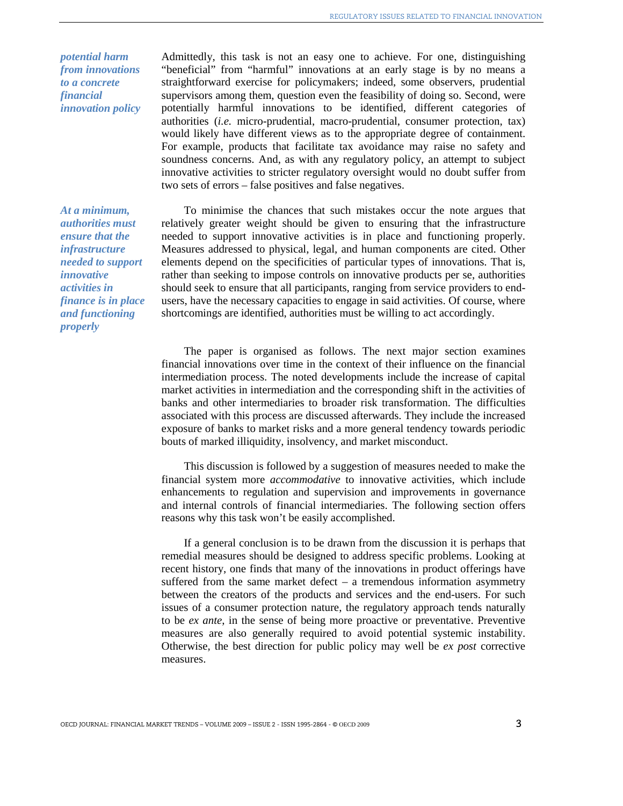*potential harm from innovations to a concrete financial innovation policy* 

*At a minimum, authorities must ensure that the infrastructure needed to support innovative activities in finance is in place and functioning properly* 

Admittedly, this task is not an easy one to achieve. For one, distinguishing "beneficial" from "harmful" innovations at an early stage is by no means a straightforward exercise for policymakers; indeed, some observers, prudential supervisors among them, question even the feasibility of doing so. Second, were potentially harmful innovations to be identified, different categories of authorities (*i.e.* micro-prudential, macro-prudential, consumer protection, tax) would likely have different views as to the appropriate degree of containment. For example, products that facilitate tax avoidance may raise no safety and soundness concerns. And, as with any regulatory policy, an attempt to subject innovative activities to stricter regulatory oversight would no doubt suffer from two sets of errors – false positives and false negatives.

To minimise the chances that such mistakes occur the note argues that relatively greater weight should be given to ensuring that the infrastructure needed to support innovative activities is in place and functioning properly. Measures addressed to physical, legal, and human components are cited. Other elements depend on the specificities of particular types of innovations. That is, rather than seeking to impose controls on innovative products per se, authorities should seek to ensure that all participants, ranging from service providers to endusers, have the necessary capacities to engage in said activities. Of course, where shortcomings are identified, authorities must be willing to act accordingly.

The paper is organised as follows. The next major section examines financial innovations over time in the context of their influence on the financial intermediation process. The noted developments include the increase of capital market activities in intermediation and the corresponding shift in the activities of banks and other intermediaries to broader risk transformation. The difficulties associated with this process are discussed afterwards. They include the increased exposure of banks to market risks and a more general tendency towards periodic bouts of marked illiquidity, insolvency, and market misconduct.

This discussion is followed by a suggestion of measures needed to make the financial system more *accommodative* to innovative activities, which include enhancements to regulation and supervision and improvements in governance and internal controls of financial intermediaries. The following section offers reasons why this task won't be easily accomplished.

If a general conclusion is to be drawn from the discussion it is perhaps that remedial measures should be designed to address specific problems. Looking at recent history, one finds that many of the innovations in product offerings have suffered from the same market defect – a tremendous information asymmetry between the creators of the products and services and the end-users. For such issues of a consumer protection nature, the regulatory approach tends naturally to be *ex ante*, in the sense of being more proactive or preventative. Preventive measures are also generally required to avoid potential systemic instability. Otherwise, the best direction for public policy may well be *ex post* corrective measures.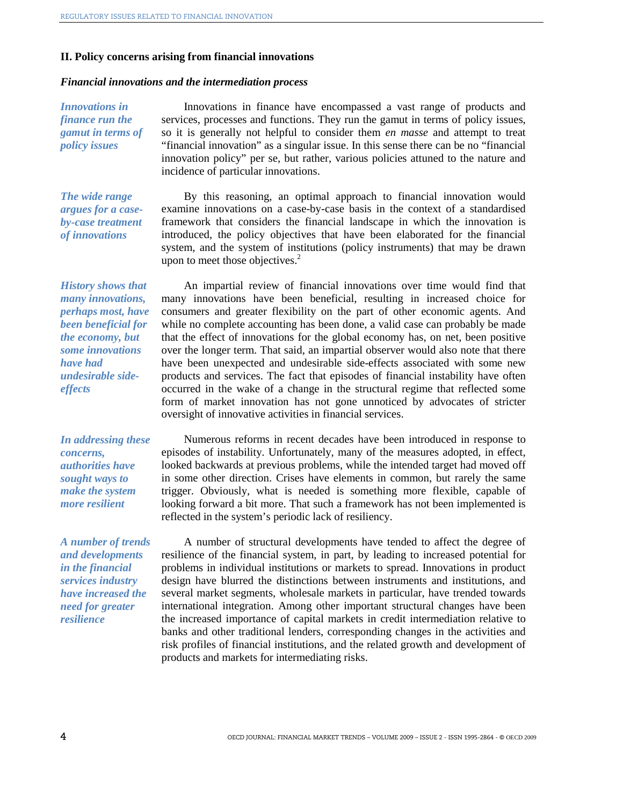#### **II. Policy concerns arising from financial innovations**

#### *Financial innovations and the intermediation process*

*Innovations in finance run the gamut in terms of policy issues* 

Innovations in finance have encompassed a vast range of products and services, processes and functions. They run the gamut in terms of policy issues, so it is generally not helpful to consider them *en masse* and attempt to treat "financial innovation" as a singular issue. In this sense there can be no "financial innovation policy" per se, but rather, various policies attuned to the nature and incidence of particular innovations.

*The wide range argues for a caseby-case treatment of innovations* 

By this reasoning, an optimal approach to financial innovation would examine innovations on a case-by-case basis in the context of a standardised framework that considers the financial landscape in which the innovation is introduced, the policy objectives that have been elaborated for the financial system, and the system of institutions (policy instruments) that may be drawn upon to meet those objectives. $2$ 

*History shows that many innovations, perhaps most, have been beneficial for the economy, but some innovations have had undesirable sideeffects* 

*In addressing these concerns, authorities have sought ways to make the system more resilient* 

*A number of trends and developments in the financial services industry have increased the need for greater resilience* 

An impartial review of financial innovations over time would find that many innovations have been beneficial, resulting in increased choice for consumers and greater flexibility on the part of other economic agents. And while no complete accounting has been done, a valid case can probably be made that the effect of innovations for the global economy has, on net, been positive over the longer term. That said, an impartial observer would also note that there have been unexpected and undesirable side-effects associated with some new products and services. The fact that episodes of financial instability have often occurred in the wake of a change in the structural regime that reflected some form of market innovation has not gone unnoticed by advocates of stricter oversight of innovative activities in financial services.

Numerous reforms in recent decades have been introduced in response to episodes of instability. Unfortunately, many of the measures adopted, in effect, looked backwards at previous problems, while the intended target had moved off in some other direction. Crises have elements in common, but rarely the same trigger. Obviously, what is needed is something more flexible, capable of looking forward a bit more. That such a framework has not been implemented is reflected in the system's periodic lack of resiliency.

A number of structural developments have tended to affect the degree of resilience of the financial system, in part, by leading to increased potential for problems in individual institutions or markets to spread. Innovations in product design have blurred the distinctions between instruments and institutions, and several market segments, wholesale markets in particular, have trended towards international integration. Among other important structural changes have been the increased importance of capital markets in credit intermediation relative to banks and other traditional lenders, corresponding changes in the activities and risk profiles of financial institutions, and the related growth and development of products and markets for intermediating risks.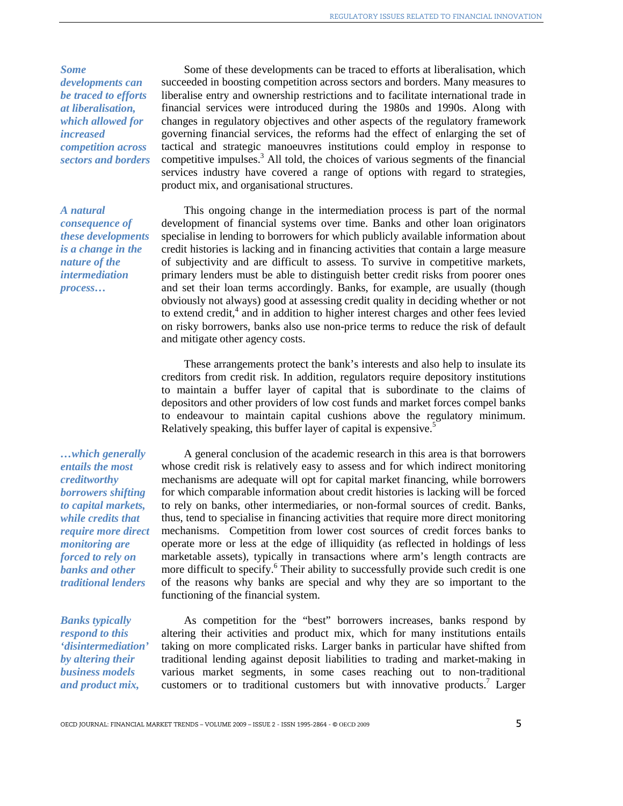*Some developments can be traced to efforts at liberalisation, which allowed for increased competition across sectors and borders* 

## *A natural consequence of these developments is a change in the nature of the intermediation process…*

*…which generally entails the most creditworthy borrowers shifting to capital markets, while credits that require more direct monitoring are forced to rely on banks and other traditional lenders* 

*Banks typically respond to this 'disintermediation' by altering their business models and product mix,* 

Some of these developments can be traced to efforts at liberalisation, which succeeded in boosting competition across sectors and borders. Many measures to liberalise entry and ownership restrictions and to facilitate international trade in financial services were introduced during the 1980s and 1990s. Along with changes in regulatory objectives and other aspects of the regulatory framework governing financial services, the reforms had the effect of enlarging the set of tactical and strategic manoeuvres institutions could employ in response to competitive impulses.<sup>3</sup> All told, the choices of various segments of the financial services industry have covered a range of options with regard to strategies, product mix, and organisational structures.

This ongoing change in the intermediation process is part of the normal development of financial systems over time. Banks and other loan originators specialise in lending to borrowers for which publicly available information about credit histories is lacking and in financing activities that contain a large measure of subjectivity and are difficult to assess. To survive in competitive markets, primary lenders must be able to distinguish better credit risks from poorer ones and set their loan terms accordingly. Banks, for example, are usually (though obviously not always) good at assessing credit quality in deciding whether or not to extend credit,<sup>4</sup> and in addition to higher interest charges and other fees levied on risky borrowers, banks also use non-price terms to reduce the risk of default and mitigate other agency costs.

These arrangements protect the bank's interests and also help to insulate its creditors from credit risk. In addition, regulators require depository institutions to maintain a buffer layer of capital that is subordinate to the claims of depositors and other providers of low cost funds and market forces compel banks to endeavour to maintain capital cushions above the regulatory minimum. Relatively speaking, this buffer layer of capital is expensive.<sup>5</sup>

A general conclusion of the academic research in this area is that borrowers whose credit risk is relatively easy to assess and for which indirect monitoring mechanisms are adequate will opt for capital market financing, while borrowers for which comparable information about credit histories is lacking will be forced to rely on banks, other intermediaries, or non-formal sources of credit. Banks, thus, tend to specialise in financing activities that require more direct monitoring mechanisms. Competition from lower cost sources of credit forces banks to operate more or less at the edge of illiquidity (as reflected in holdings of less marketable assets), typically in transactions where arm's length contracts are more difficult to specify.<sup>6</sup> Their ability to successfully provide such credit is one of the reasons why banks are special and why they are so important to the functioning of the financial system.

As competition for the "best" borrowers increases, banks respond by altering their activities and product mix, which for many institutions entails taking on more complicated risks. Larger banks in particular have shifted from traditional lending against deposit liabilities to trading and market-making in various market segments, in some cases reaching out to non-traditional customers or to traditional customers but with innovative products.<sup>7</sup> Larger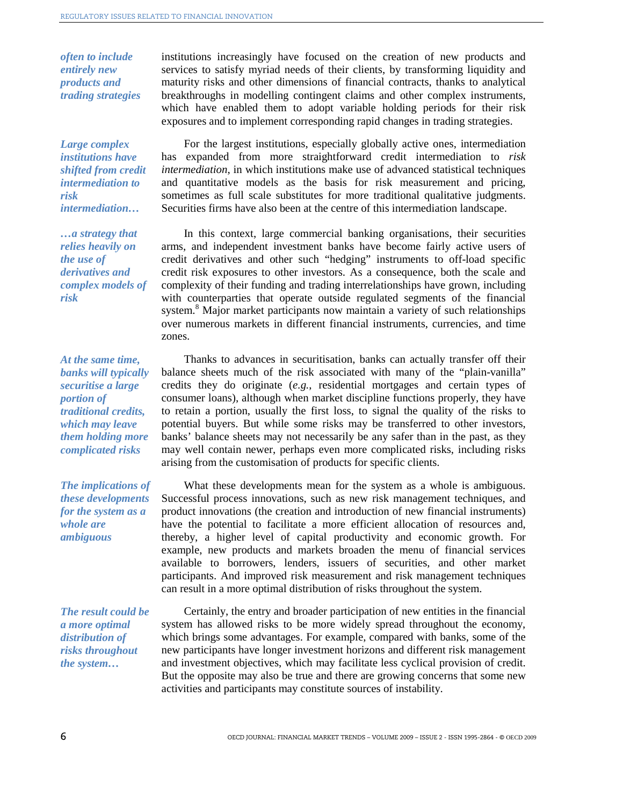*often to include entirely new products and trading strategies* 

*Large complex institutions have shifted from credit intermediation to risk intermediation…* 

*…a strategy that relies heavily on the use of derivatives and complex models of risk* 

*At the same time, banks will typically securitise a large portion of traditional credits, which may leave them holding more complicated risks* 

*The implications of these developments for the system as a whole are ambiguous* 

*The result could be a more optimal distribution of risks throughout the system…* 

institutions increasingly have focused on the creation of new products and services to satisfy myriad needs of their clients, by transforming liquidity and maturity risks and other dimensions of financial contracts, thanks to analytical breakthroughs in modelling contingent claims and other complex instruments, which have enabled them to adopt variable holding periods for their risk exposures and to implement corresponding rapid changes in trading strategies.

For the largest institutions, especially globally active ones, intermediation has expanded from more straightforward credit intermediation to *risk intermediation*, in which institutions make use of advanced statistical techniques and quantitative models as the basis for risk measurement and pricing, sometimes as full scale substitutes for more traditional qualitative judgments. Securities firms have also been at the centre of this intermediation landscape.

In this context, large commercial banking organisations, their securities arms, and independent investment banks have become fairly active users of credit derivatives and other such "hedging" instruments to off-load specific credit risk exposures to other investors. As a consequence, both the scale and complexity of their funding and trading interrelationships have grown, including with counterparties that operate outside regulated segments of the financial system.<sup>8</sup> Major market participants now maintain a variety of such relationships over numerous markets in different financial instruments, currencies, and time zones.

Thanks to advances in securitisation, banks can actually transfer off their balance sheets much of the risk associated with many of the "plain-vanilla" credits they do originate (*e.g.*, residential mortgages and certain types of consumer loans), although when market discipline functions properly, they have to retain a portion, usually the first loss, to signal the quality of the risks to potential buyers. But while some risks may be transferred to other investors, banks' balance sheets may not necessarily be any safer than in the past, as they may well contain newer, perhaps even more complicated risks, including risks arising from the customisation of products for specific clients.

What these developments mean for the system as a whole is ambiguous. Successful process innovations, such as new risk management techniques, and product innovations (the creation and introduction of new financial instruments) have the potential to facilitate a more efficient allocation of resources and, thereby, a higher level of capital productivity and economic growth. For example, new products and markets broaden the menu of financial services available to borrowers, lenders, issuers of securities, and other market participants. And improved risk measurement and risk management techniques can result in a more optimal distribution of risks throughout the system.

Certainly, the entry and broader participation of new entities in the financial system has allowed risks to be more widely spread throughout the economy, which brings some advantages. For example, compared with banks, some of the new participants have longer investment horizons and different risk management and investment objectives, which may facilitate less cyclical provision of credit. But the opposite may also be true and there are growing concerns that some new activities and participants may constitute sources of instability.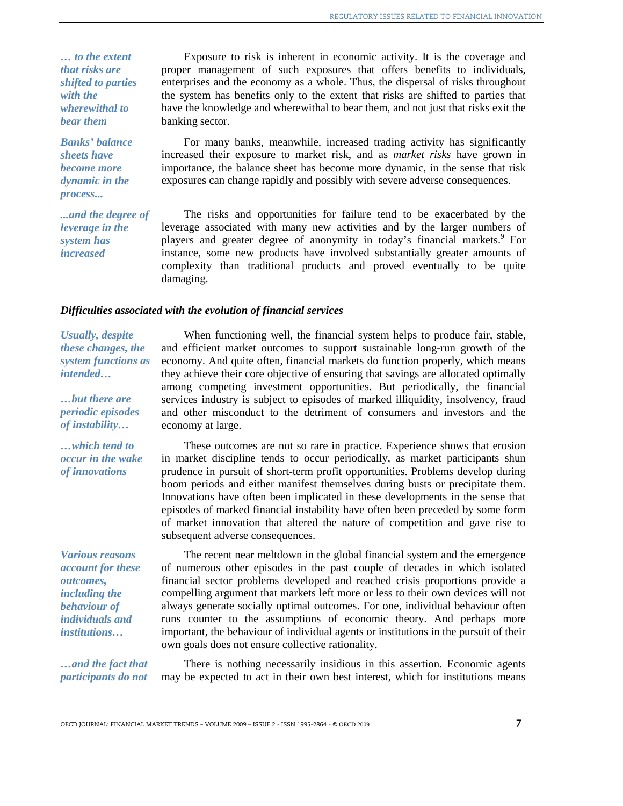*… to the extent that risks are shifted to parties with the wherewithal to bear them* 

*Banks' balance sheets have become more dynamic in the process...* 

*...and the degree of leverage in the system has increased* 

Exposure to risk is inherent in economic activity. It is the coverage and proper management of such exposures that offers benefits to individuals, enterprises and the economy as a whole. Thus, the dispersal of risks throughout the system has benefits only to the extent that risks are shifted to parties that have the knowledge and wherewithal to bear them, and not just that risks exit the banking sector.

For many banks, meanwhile, increased trading activity has significantly increased their exposure to market risk, and as *market risks* have grown in importance, the balance sheet has become more dynamic, in the sense that risk exposures can change rapidly and possibly with severe adverse consequences.

The risks and opportunities for failure tend to be exacerbated by the leverage associated with many new activities and by the larger numbers of players and greater degree of anonymity in today's financial markets.<sup>9</sup> For instance, some new products have involved substantially greater amounts of complexity than traditional products and proved eventually to be quite damaging.

#### *Difficulties associated with the evolution of financial services*

*Usually, despite these changes, the system functions as intended…* 

*…but there are periodic episodes of instability…* 

*…which tend to occur in the wake of innovations* 

*Various reasons account for these outcomes, including the behaviour of individuals and institutions…* 

*…and the fact that participants do not* 

When functioning well, the financial system helps to produce fair, stable, and efficient market outcomes to support sustainable long-run growth of the economy. And quite often, financial markets do function properly, which means they achieve their core objective of ensuring that savings are allocated optimally among competing investment opportunities. But periodically, the financial services industry is subject to episodes of marked illiquidity, insolvency, fraud and other misconduct to the detriment of consumers and investors and the economy at large.

These outcomes are not so rare in practice. Experience shows that erosion in market discipline tends to occur periodically, as market participants shun prudence in pursuit of short-term profit opportunities. Problems develop during boom periods and either manifest themselves during busts or precipitate them. Innovations have often been implicated in these developments in the sense that episodes of marked financial instability have often been preceded by some form of market innovation that altered the nature of competition and gave rise to subsequent adverse consequences.

The recent near meltdown in the global financial system and the emergence of numerous other episodes in the past couple of decades in which isolated financial sector problems developed and reached crisis proportions provide a compelling argument that markets left more or less to their own devices will not always generate socially optimal outcomes. For one, individual behaviour often runs counter to the assumptions of economic theory. And perhaps more important, the behaviour of individual agents or institutions in the pursuit of their own goals does not ensure collective rationality.

There is nothing necessarily insidious in this assertion. Economic agents may be expected to act in their own best interest, which for institutions means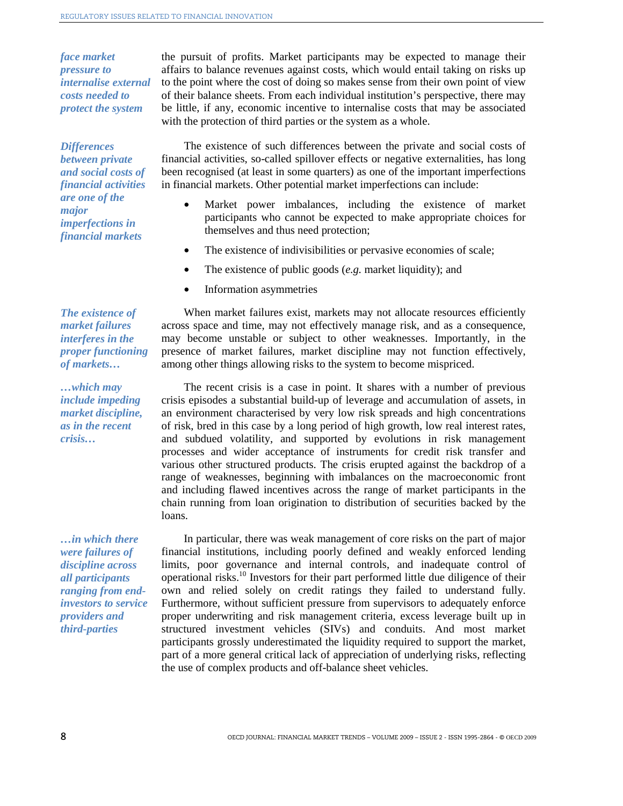*face market pressure to internalise external costs needed to protect the system* 

# *Differences*

*between private and social costs of financial activities are one of the major imperfections in financial markets* 

*The existence of market failures interferes in the proper functioning of markets…* 

*…which may include impeding market discipline, as in the recent crisis…* 

*…in which there were failures of discipline across all participants ranging from endinvestors to service providers and third-parties* 

the pursuit of profits. Market participants may be expected to manage their affairs to balance revenues against costs, which would entail taking on risks up to the point where the cost of doing so makes sense from their own point of view of their balance sheets. From each individual institution's perspective, there may be little, if any, economic incentive to internalise costs that may be associated with the protection of third parties or the system as a whole.

The existence of such differences between the private and social costs of financial activities, so-called spillover effects or negative externalities, has long been recognised (at least in some quarters) as one of the important imperfections in financial markets. Other potential market imperfections can include:

- Market power imbalances, including the existence of market participants who cannot be expected to make appropriate choices for themselves and thus need protection;
- The existence of indivisibilities or pervasive economies of scale;
- The existence of public goods (*e.g.* market liquidity); and
- Information asymmetries

When market failures exist, markets may not allocate resources efficiently across space and time, may not effectively manage risk, and as a consequence, may become unstable or subject to other weaknesses. Importantly, in the presence of market failures, market discipline may not function effectively, among other things allowing risks to the system to become mispriced.

The recent crisis is a case in point. It shares with a number of previous crisis episodes a substantial build-up of leverage and accumulation of assets, in an environment characterised by very low risk spreads and high concentrations of risk, bred in this case by a long period of high growth, low real interest rates, and subdued volatility, and supported by evolutions in risk management processes and wider acceptance of instruments for credit risk transfer and various other structured products. The crisis erupted against the backdrop of a range of weaknesses, beginning with imbalances on the macroeconomic front and including flawed incentives across the range of market participants in the chain running from loan origination to distribution of securities backed by the loans.

In particular, there was weak management of core risks on the part of major financial institutions, including poorly defined and weakly enforced lending limits, poor governance and internal controls, and inadequate control of operational risks.10 Investors for their part performed little due diligence of their own and relied solely on credit ratings they failed to understand fully. Furthermore, without sufficient pressure from supervisors to adequately enforce proper underwriting and risk management criteria, excess leverage built up in structured investment vehicles (SIVs) and conduits. And most market participants grossly underestimated the liquidity required to support the market, part of a more general critical lack of appreciation of underlying risks, reflecting the use of complex products and off-balance sheet vehicles.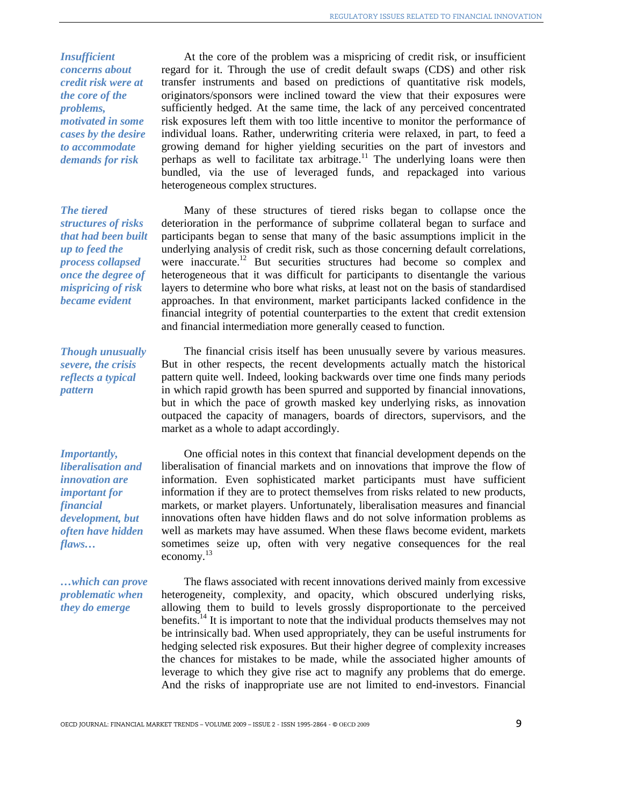*Insufficient concerns about credit risk were at the core of the problems, motivated in some cases by the desire to accommodate demands for risk* 

# *The tiered*

*structures of risks that had been built up to feed the process collapsed once the degree of mispricing of risk became evident* 

*Though unusually severe, the crisis reflects a typical pattern* 

*Importantly, liberalisation and innovation are important for financial development, but often have hidden flaws…* 

*…which can prove problematic when they do emerge* 

At the core of the problem was a mispricing of credit risk, or insufficient regard for it. Through the use of credit default swaps (CDS) and other risk transfer instruments and based on predictions of quantitative risk models, originators/sponsors were inclined toward the view that their exposures were sufficiently hedged. At the same time, the lack of any perceived concentrated risk exposures left them with too little incentive to monitor the performance of individual loans. Rather, underwriting criteria were relaxed, in part, to feed a growing demand for higher yielding securities on the part of investors and perhaps as well to facilitate tax arbitrage.<sup>11</sup> The underlying loans were then bundled, via the use of leveraged funds, and repackaged into various heterogeneous complex structures.

Many of these structures of tiered risks began to collapse once the deterioration in the performance of subprime collateral began to surface and participants began to sense that many of the basic assumptions implicit in the underlying analysis of credit risk, such as those concerning default correlations, were inaccurate.<sup>12</sup> But securities structures had become so complex and heterogeneous that it was difficult for participants to disentangle the various layers to determine who bore what risks, at least not on the basis of standardised approaches. In that environment, market participants lacked confidence in the financial integrity of potential counterparties to the extent that credit extension and financial intermediation more generally ceased to function.

The financial crisis itself has been unusually severe by various measures. But in other respects, the recent developments actually match the historical pattern quite well. Indeed, looking backwards over time one finds many periods in which rapid growth has been spurred and supported by financial innovations, but in which the pace of growth masked key underlying risks, as innovation outpaced the capacity of managers, boards of directors, supervisors, and the market as a whole to adapt accordingly.

One official notes in this context that financial development depends on the liberalisation of financial markets and on innovations that improve the flow of information. Even sophisticated market participants must have sufficient information if they are to protect themselves from risks related to new products, markets, or market players. Unfortunately, liberalisation measures and financial innovations often have hidden flaws and do not solve information problems as well as markets may have assumed. When these flaws become evident, markets sometimes seize up, often with very negative consequences for the real economy.<sup>13</sup>

The flaws associated with recent innovations derived mainly from excessive heterogeneity, complexity, and opacity, which obscured underlying risks, allowing them to build to levels grossly disproportionate to the perceived benefits.<sup>14</sup> It is important to note that the individual products themselves may not be intrinsically bad. When used appropriately, they can be useful instruments for hedging selected risk exposures. But their higher degree of complexity increases the chances for mistakes to be made, while the associated higher amounts of leverage to which they give rise act to magnify any problems that do emerge. And the risks of inappropriate use are not limited to end-investors. Financial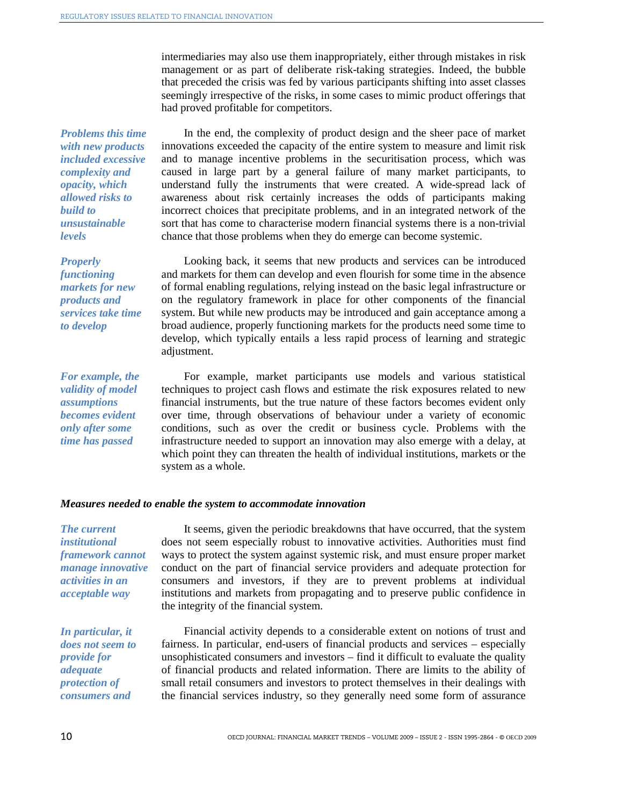intermediaries may also use them inappropriately, either through mistakes in risk management or as part of deliberate risk-taking strategies. Indeed, the bubble that preceded the crisis was fed by various participants shifting into asset classes seemingly irrespective of the risks, in some cases to mimic product offerings that had proved profitable for competitors.

*Problems this time with new products included excessive complexity and opacity, which allowed risks to build to unsustainable levels* 

*Properly functioning markets for new products and services take time to develop* 

*For example, the validity of model assumptions becomes evident only after some time has passed* 

In the end, the complexity of product design and the sheer pace of market innovations exceeded the capacity of the entire system to measure and limit risk and to manage incentive problems in the securitisation process, which was caused in large part by a general failure of many market participants, to understand fully the instruments that were created. A wide-spread lack of awareness about risk certainly increases the odds of participants making incorrect choices that precipitate problems, and in an integrated network of the sort that has come to characterise modern financial systems there is a non-trivial chance that those problems when they do emerge can become systemic.

Looking back, it seems that new products and services can be introduced and markets for them can develop and even flourish for some time in the absence of formal enabling regulations, relying instead on the basic legal infrastructure or on the regulatory framework in place for other components of the financial system. But while new products may be introduced and gain acceptance among a broad audience, properly functioning markets for the products need some time to develop, which typically entails a less rapid process of learning and strategic adjustment.

For example, market participants use models and various statistical techniques to project cash flows and estimate the risk exposures related to new financial instruments, but the true nature of these factors becomes evident only over time, through observations of behaviour under a variety of economic conditions, such as over the credit or business cycle. Problems with the infrastructure needed to support an innovation may also emerge with a delay, at which point they can threaten the health of individual institutions, markets or the system as a whole.

#### *Measures needed to enable the system to accommodate innovation*

*The current institutional framework cannot manage innovative activities in an acceptable way* 

*In particular, it does not seem to provide for adequate protection of consumers and* 

It seems, given the periodic breakdowns that have occurred, that the system does not seem especially robust to innovative activities. Authorities must find ways to protect the system against systemic risk, and must ensure proper market conduct on the part of financial service providers and adequate protection for consumers and investors, if they are to prevent problems at individual institutions and markets from propagating and to preserve public confidence in the integrity of the financial system.

Financial activity depends to a considerable extent on notions of trust and fairness. In particular, end-users of financial products and services – especially unsophisticated consumers and investors – find it difficult to evaluate the quality of financial products and related information. There are limits to the ability of small retail consumers and investors to protect themselves in their dealings with the financial services industry, so they generally need some form of assurance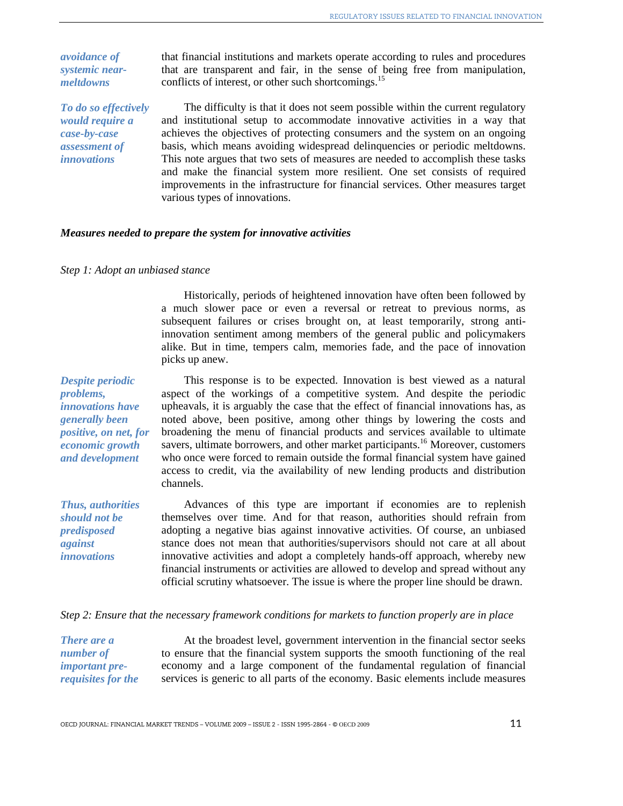*avoidance of systemic nearmeltdowns* 

*To do so effectively would require a case-by-case assessment of innovations*

that financial institutions and markets operate according to rules and procedures that are transparent and fair, in the sense of being free from manipulation, conflicts of interest, or other such shortcomings.<sup>15</sup>

The difficulty is that it does not seem possible within the current regulatory and institutional setup to accommodate innovative activities in a way that achieves the objectives of protecting consumers and the system on an ongoing basis, which means avoiding widespread delinquencies or periodic meltdowns. This note argues that two sets of measures are needed to accomplish these tasks and make the financial system more resilient. One set consists of required improvements in the infrastructure for financial services. Other measures target various types of innovations.

#### *Measures needed to prepare the system for innovative activities*

#### *Step 1: Adopt an unbiased stance*

Historically, periods of heightened innovation have often been followed by a much slower pace or even a reversal or retreat to previous norms, as subsequent failures or crises brought on, at least temporarily, strong antiinnovation sentiment among members of the general public and policymakers alike. But in time, tempers calm, memories fade, and the pace of innovation picks up anew.

*Despite periodic problems, innovations have generally been positive, on net, for economic growth and development* 

*Thus, authorities should not be predisposed against innovations* 

This response is to be expected. Innovation is best viewed as a natural aspect of the workings of a competitive system. And despite the periodic upheavals, it is arguably the case that the effect of financial innovations has, as noted above, been positive, among other things by lowering the costs and broadening the menu of financial products and services available to ultimate savers, ultimate borrowers, and other market participants.<sup>16</sup> Moreover, customers who once were forced to remain outside the formal financial system have gained access to credit, via the availability of new lending products and distribution channels.

Advances of this type are important if economies are to replenish themselves over time. And for that reason, authorities should refrain from adopting a negative bias against innovative activities. Of course, an unbiased stance does not mean that authorities/supervisors should not care at all about innovative activities and adopt a completely hands-off approach, whereby new financial instruments or activities are allowed to develop and spread without any official scrutiny whatsoever. The issue is where the proper line should be drawn.

#### *Step 2: Ensure that the necessary framework conditions for markets to function properly are in place*

*There are a number of important prerequisites for the* 

At the broadest level, government intervention in the financial sector seeks to ensure that the financial system supports the smooth functioning of the real economy and a large component of the fundamental regulation of financial services is generic to all parts of the economy. Basic elements include measures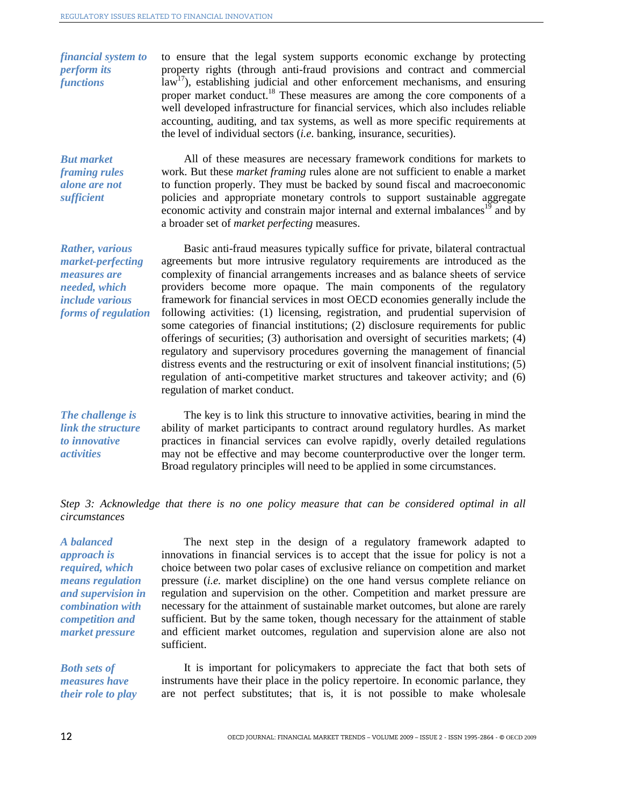*financial system to perform its functions*  to ensure that the legal system supports economic exchange by protecting property rights (through anti-fraud provisions and contract and commercial  $\text{law}^{17}$ ), establishing judicial and other enforcement mechanisms, and ensuring proper market conduct.<sup>18</sup> These measures are among the core components of a well developed infrastructure for financial services, which also includes reliable accounting, auditing, and tax systems, as well as more specific requirements at the level of individual sectors (*i.e.* banking, insurance, securities). *But market framing rules alone are not*  All of these measures are necessary framework conditions for markets to work. But these *market framing* rules alone are not sufficient to enable a market

to function properly. They must be backed by sound fiscal and macroeconomic policies and appropriate monetary controls to support sustainable aggregate economic activity and constrain major internal and external imbalances<sup>19</sup> and by a broader set of *market perfecting* measures.

Basic anti-fraud measures typically suffice for private, bilateral contractual agreements but more intrusive regulatory requirements are introduced as the complexity of financial arrangements increases and as balance sheets of service providers become more opaque. The main components of the regulatory framework for financial services in most OECD economies generally include the following activities: (1) licensing, registration, and prudential supervision of some categories of financial institutions; (2) disclosure requirements for public offerings of securities; (3) authorisation and oversight of securities markets; (4) regulatory and supervisory procedures governing the management of financial distress events and the restructuring or exit of insolvent financial institutions; (5) regulation of anti-competitive market structures and takeover activity; and (6) regulation of market conduct.

*The challenge is link the structure to innovative activities*

*sufficient* 

*Rather, various market-perfecting measures are needed, which include various forms of regulation* 

> The key is to link this structure to innovative activities, bearing in mind the ability of market participants to contract around regulatory hurdles. As market practices in financial services can evolve rapidly, overly detailed regulations may not be effective and may become counterproductive over the longer term. Broad regulatory principles will need to be applied in some circumstances.

*Step 3: Acknowledge that there is no one policy measure that can be considered optimal in all circumstances* 

*A balanced approach is required, which means regulation and supervision in combination with competition and market pressure* 

The next step in the design of a regulatory framework adapted to innovations in financial services is to accept that the issue for policy is not a choice between two polar cases of exclusive reliance on competition and market pressure (*i.e.* market discipline) on the one hand versus complete reliance on regulation and supervision on the other. Competition and market pressure are necessary for the attainment of sustainable market outcomes, but alone are rarely sufficient. But by the same token, though necessary for the attainment of stable and efficient market outcomes, regulation and supervision alone are also not sufficient.

*Both sets of measures have their role to play* 

It is important for policymakers to appreciate the fact that both sets of instruments have their place in the policy repertoire. In economic parlance, they are not perfect substitutes; that is, it is not possible to make wholesale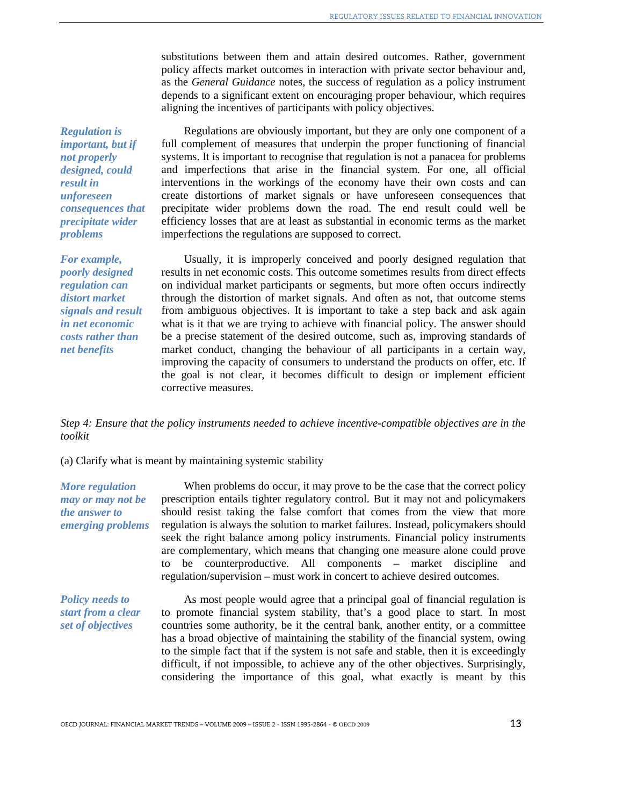substitutions between them and attain desired outcomes. Rather, government policy affects market outcomes in interaction with private sector behaviour and, as the *General Guidance* notes, the success of regulation as a policy instrument depends to a significant extent on encouraging proper behaviour, which requires aligning the incentives of participants with policy objectives.

*Regulation is important, but if not properly designed, could result in unforeseen consequences that precipitate wider problems*

*For example, poorly designed regulation can distort market signals and result in net economic costs rather than net benefits*

Regulations are obviously important, but they are only one component of a full complement of measures that underpin the proper functioning of financial systems. It is important to recognise that regulation is not a panacea for problems and imperfections that arise in the financial system. For one, all official interventions in the workings of the economy have their own costs and can create distortions of market signals or have unforeseen consequences that precipitate wider problems down the road. The end result could well be efficiency losses that are at least as substantial in economic terms as the market imperfections the regulations are supposed to correct.

Usually, it is improperly conceived and poorly designed regulation that results in net economic costs. This outcome sometimes results from direct effects on individual market participants or segments, but more often occurs indirectly through the distortion of market signals. And often as not, that outcome stems from ambiguous objectives. It is important to take a step back and ask again what is it that we are trying to achieve with financial policy. The answer should be a precise statement of the desired outcome, such as, improving standards of market conduct, changing the behaviour of all participants in a certain way, improving the capacity of consumers to understand the products on offer, etc. If the goal is not clear, it becomes difficult to design or implement efficient corrective measures.

*Step 4: Ensure that the policy instruments needed to achieve incentive-compatible objectives are in the toolkit* 

(a) Clarify what is meant by maintaining systemic stability

*More regulation may or may not be the answer to emerging problems*

When problems do occur, it may prove to be the case that the correct policy prescription entails tighter regulatory control. But it may not and policymakers should resist taking the false comfort that comes from the view that more regulation is always the solution to market failures. Instead, policymakers should seek the right balance among policy instruments. Financial policy instruments are complementary, which means that changing one measure alone could prove to be counterproductive. All components – market discipline and regulation/supervision – must work in concert to achieve desired outcomes.

*Policy needs to start from a clear set of objectives* 

As most people would agree that a principal goal of financial regulation is to promote financial system stability, that's a good place to start. In most countries some authority, be it the central bank, another entity, or a committee has a broad objective of maintaining the stability of the financial system, owing to the simple fact that if the system is not safe and stable, then it is exceedingly difficult, if not impossible, to achieve any of the other objectives. Surprisingly, considering the importance of this goal, what exactly is meant by this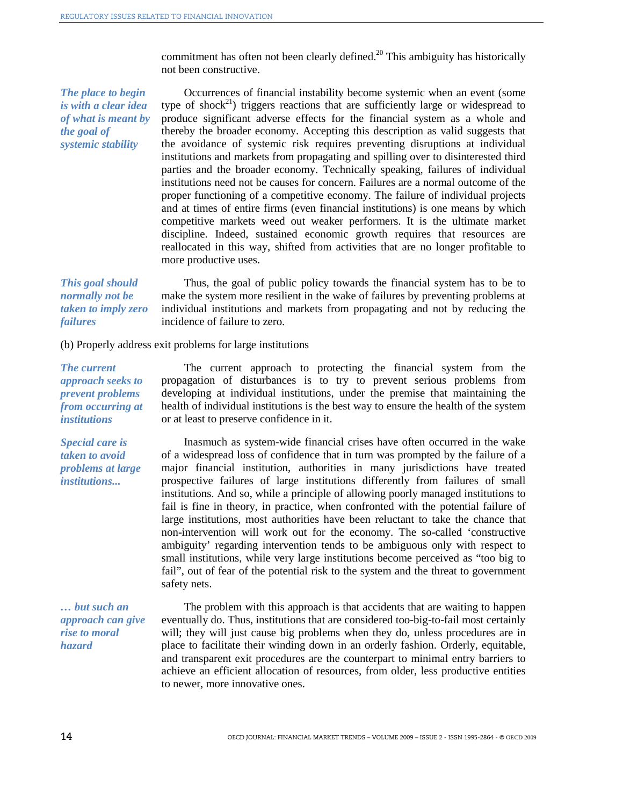commitment has often not been clearly defined.<sup>20</sup> This ambiguity has historically not been constructive.

*The place to begin is with a clear idea of what is meant by the goal of systemic stability* 

Occurrences of financial instability become systemic when an event (some type of shock<sup>21</sup>) triggers reactions that are sufficiently large or widespread to produce significant adverse effects for the financial system as a whole and thereby the broader economy. Accepting this description as valid suggests that the avoidance of systemic risk requires preventing disruptions at individual institutions and markets from propagating and spilling over to disinterested third parties and the broader economy. Technically speaking, failures of individual institutions need not be causes for concern. Failures are a normal outcome of the proper functioning of a competitive economy. The failure of individual projects and at times of entire firms (even financial institutions) is one means by which competitive markets weed out weaker performers. It is the ultimate market discipline. Indeed, sustained economic growth requires that resources are reallocated in this way, shifted from activities that are no longer profitable to more productive uses.

*This goal should normally not be taken to imply zero failures* Thus, the goal of public policy towards the financial system has to be to make the system more resilient in the wake of failures by preventing problems at individual institutions and markets from propagating and not by reducing the incidence of failure to zero.

(b) Properly address exit problems for large institutions

*The current approach seeks to prevent problems from occurring at institutions* 

The current approach to protecting the financial system from the propagation of disturbances is to try to prevent serious problems from developing at individual institutions, under the premise that maintaining the health of individual institutions is the best way to ensure the health of the system or at least to preserve confidence in it.

*Special care is taken to avoid problems at large institutions...* 

safety nets. *… but such an approach can give* 

*rise to moral hazard* 

Inasmuch as system-wide financial crises have often occurred in the wake of a widespread loss of confidence that in turn was prompted by the failure of a major financial institution, authorities in many jurisdictions have treated prospective failures of large institutions differently from failures of small institutions. And so, while a principle of allowing poorly managed institutions to fail is fine in theory, in practice, when confronted with the potential failure of large institutions, most authorities have been reluctant to take the chance that non-intervention will work out for the economy. The so-called 'constructive ambiguity' regarding intervention tends to be ambiguous only with respect to small institutions, while very large institutions become perceived as "too big to fail", out of fear of the potential risk to the system and the threat to government

The problem with this approach is that accidents that are waiting to happen eventually do. Thus, institutions that are considered too-big-to-fail most certainly will; they will just cause big problems when they do, unless procedures are in place to facilitate their winding down in an orderly fashion. Orderly, equitable, and transparent exit procedures are the counterpart to minimal entry barriers to achieve an efficient allocation of resources, from older, less productive entities to newer, more innovative ones.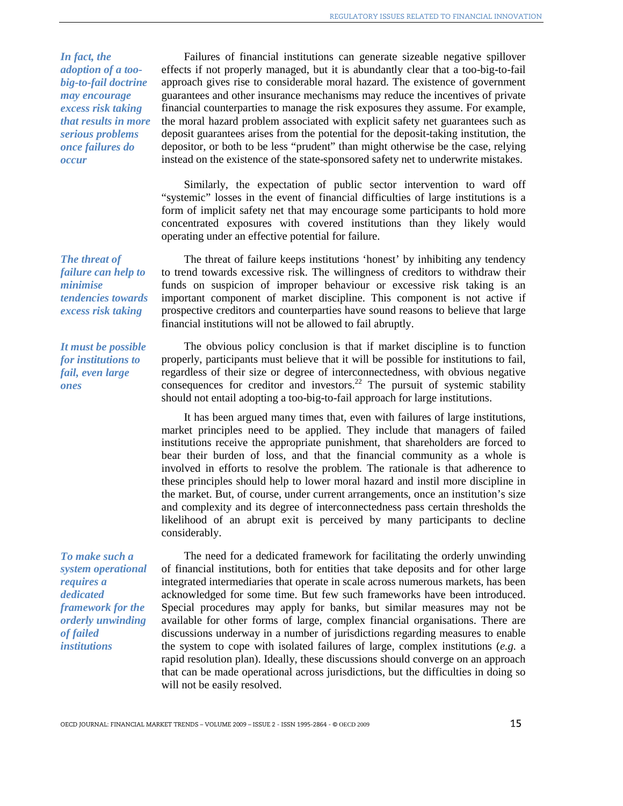*In fact, the adoption of a toobig-to-fail doctrine may encourage excess risk taking that results in more serious problems once failures do occur* 

Failures of financial institutions can generate sizeable negative spillover effects if not properly managed, but it is abundantly clear that a too-big-to-fail approach gives rise to considerable moral hazard. The existence of government guarantees and other insurance mechanisms may reduce the incentives of private financial counterparties to manage the risk exposures they assume. For example, the moral hazard problem associated with explicit safety net guarantees such as deposit guarantees arises from the potential for the deposit-taking institution, the depositor, or both to be less "prudent" than might otherwise be the case, relying instead on the existence of the state-sponsored safety net to underwrite mistakes.

Similarly, the expectation of public sector intervention to ward off "systemic" losses in the event of financial difficulties of large institutions is a form of implicit safety net that may encourage some participants to hold more concentrated exposures with covered institutions than they likely would operating under an effective potential for failure.

The threat of failure keeps institutions 'honest' by inhibiting any tendency to trend towards excessive risk. The willingness of creditors to withdraw their funds on suspicion of improper behaviour or excessive risk taking is an important component of market discipline. This component is not active if prospective creditors and counterparties have sound reasons to believe that large financial institutions will not be allowed to fail abruptly.

*It must be possible for institutions to fail, even large ones* 

*tendencies towards excess risk taking* 

*The threat of failure can help to* 

*minimise* 

The obvious policy conclusion is that if market discipline is to function properly, participants must believe that it will be possible for institutions to fail, regardless of their size or degree of interconnectedness, with obvious negative consequences for creditor and investors.<sup>22</sup> The pursuit of systemic stability should not entail adopting a too-big-to-fail approach for large institutions.

It has been argued many times that, even with failures of large institutions, market principles need to be applied. They include that managers of failed institutions receive the appropriate punishment, that shareholders are forced to bear their burden of loss, and that the financial community as a whole is involved in efforts to resolve the problem. The rationale is that adherence to these principles should help to lower moral hazard and instil more discipline in the market. But, of course, under current arrangements, once an institution's size and complexity and its degree of interconnectedness pass certain thresholds the likelihood of an abrupt exit is perceived by many participants to decline considerably.

*To make such a system operational requires a dedicated framework for the orderly unwinding of failed institutions*

The need for a dedicated framework for facilitating the orderly unwinding of financial institutions, both for entities that take deposits and for other large integrated intermediaries that operate in scale across numerous markets, has been acknowledged for some time. But few such frameworks have been introduced. Special procedures may apply for banks, but similar measures may not be available for other forms of large, complex financial organisations. There are discussions underway in a number of jurisdictions regarding measures to enable the system to cope with isolated failures of large, complex institutions (*e.g.* a rapid resolution plan). Ideally, these discussions should converge on an approach that can be made operational across jurisdictions, but the difficulties in doing so will not be easily resolved.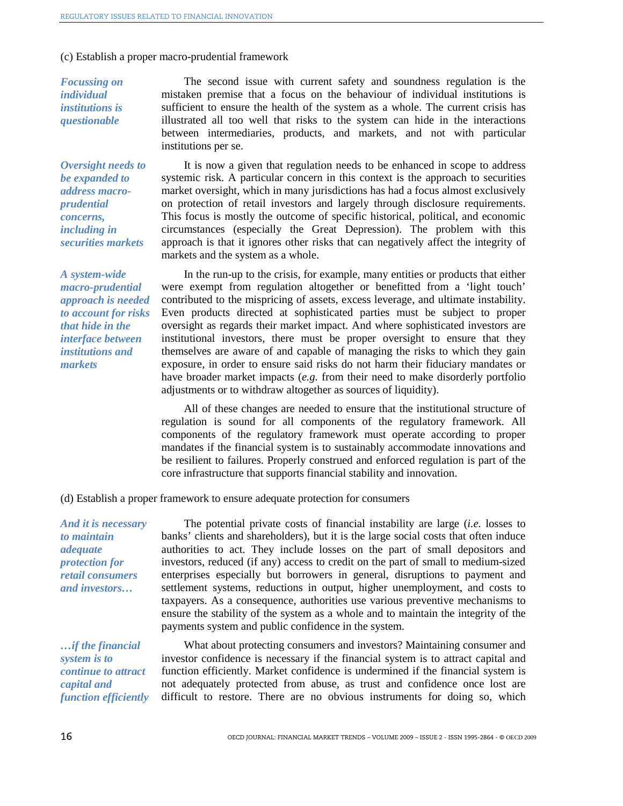#### (c) Establish a proper macro-prudential framework

*Focussing on individual institutions is questionable* 

*Oversight needs to be expanded to address macroprudential concerns, including in securities markets* 

*A system-wide macro-prudential approach is needed to account for risks that hide in the interface between institutions and markets* 

The second issue with current safety and soundness regulation is the mistaken premise that a focus on the behaviour of individual institutions is sufficient to ensure the health of the system as a whole. The current crisis has illustrated all too well that risks to the system can hide in the interactions between intermediaries, products, and markets, and not with particular institutions per se.

It is now a given that regulation needs to be enhanced in scope to address systemic risk. A particular concern in this context is the approach to securities market oversight, which in many jurisdictions has had a focus almost exclusively on protection of retail investors and largely through disclosure requirements. This focus is mostly the outcome of specific historical, political, and economic circumstances (especially the Great Depression). The problem with this approach is that it ignores other risks that can negatively affect the integrity of markets and the system as a whole.

In the run-up to the crisis, for example, many entities or products that either were exempt from regulation altogether or benefitted from a 'light touch' contributed to the mispricing of assets, excess leverage, and ultimate instability. Even products directed at sophisticated parties must be subject to proper oversight as regards their market impact. And where sophisticated investors are institutional investors, there must be proper oversight to ensure that they themselves are aware of and capable of managing the risks to which they gain exposure, in order to ensure said risks do not harm their fiduciary mandates or have broader market impacts (*e.g.* from their need to make disorderly portfolio adjustments or to withdraw altogether as sources of liquidity).

All of these changes are needed to ensure that the institutional structure of regulation is sound for all components of the regulatory framework. All components of the regulatory framework must operate according to proper mandates if the financial system is to sustainably accommodate innovations and be resilient to failures. Properly construed and enforced regulation is part of the core infrastructure that supports financial stability and innovation.

(d) Establish a proper framework to ensure adequate protection for consumers

*And it is necessary to maintain adequate protection for retail consumers and investors…*

The potential private costs of financial instability are large (*i.e.* losses to banks' clients and shareholders), but it is the large social costs that often induce authorities to act. They include losses on the part of small depositors and investors, reduced (if any) access to credit on the part of small to medium-sized enterprises especially but borrowers in general, disruptions to payment and settlement systems, reductions in output, higher unemployment, and costs to taxpayers. As a consequence, authorities use various preventive mechanisms to ensure the stability of the system as a whole and to maintain the integrity of the payments system and public confidence in the system.

*…if the financial system is to continue to attract capital and function efficiently*

What about protecting consumers and investors? Maintaining consumer and investor confidence is necessary if the financial system is to attract capital and function efficiently. Market confidence is undermined if the financial system is not adequately protected from abuse, as trust and confidence once lost are difficult to restore. There are no obvious instruments for doing so, which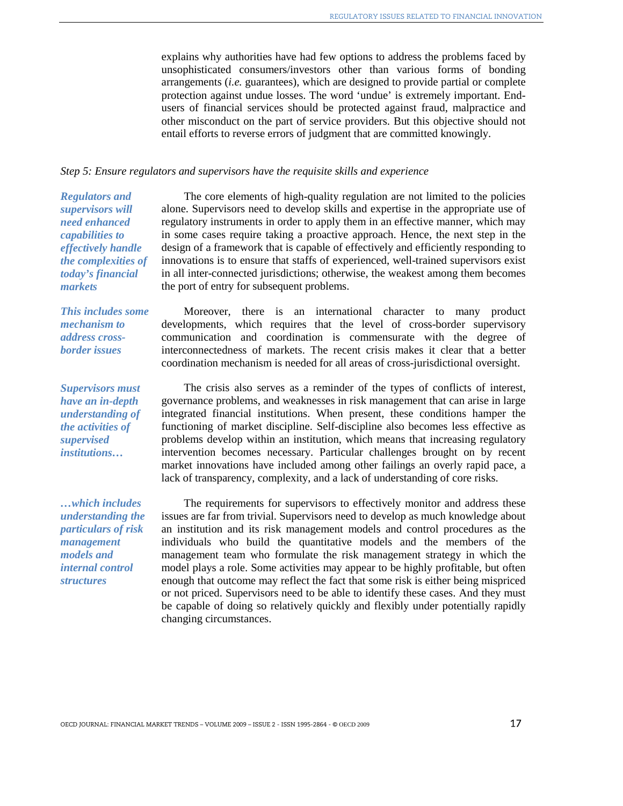explains why authorities have had few options to address the problems faced by unsophisticated consumers/investors other than various forms of bonding arrangements (*i.e.* guarantees), which are designed to provide partial or complete protection against undue losses. The word 'undue' is extremely important. Endusers of financial services should be protected against fraud, malpractice and other misconduct on the part of service providers. But this objective should not entail efforts to reverse errors of judgment that are committed knowingly.

#### *Step 5: Ensure regulators and supervisors have the requisite skills and experience*

*Regulators and supervisors will need enhanced capabilities to effectively handle the complexities of today's financial markets* 

The core elements of high-quality regulation are not limited to the policies alone. Supervisors need to develop skills and expertise in the appropriate use of regulatory instruments in order to apply them in an effective manner, which may in some cases require taking a proactive approach. Hence, the next step in the design of a framework that is capable of effectively and efficiently responding to innovations is to ensure that staffs of experienced, well-trained supervisors exist in all inter-connected jurisdictions; otherwise, the weakest among them becomes the port of entry for subsequent problems.

*This includes some mechanism to address crossborder issues* 

*Supervisors must have an in-depth understanding of the activities of supervised institutions…* 

*…which includes understanding the particulars of risk management models and internal control structures*

Moreover, there is an international character to many product developments, which requires that the level of cross-border supervisory communication and coordination is commensurate with the degree of interconnectedness of markets. The recent crisis makes it clear that a better coordination mechanism is needed for all areas of cross-jurisdictional oversight.

The crisis also serves as a reminder of the types of conflicts of interest, governance problems, and weaknesses in risk management that can arise in large integrated financial institutions. When present, these conditions hamper the functioning of market discipline. Self-discipline also becomes less effective as problems develop within an institution, which means that increasing regulatory intervention becomes necessary. Particular challenges brought on by recent market innovations have included among other failings an overly rapid pace, a lack of transparency, complexity, and a lack of understanding of core risks.

The requirements for supervisors to effectively monitor and address these issues are far from trivial. Supervisors need to develop as much knowledge about an institution and its risk management models and control procedures as the individuals who build the quantitative models and the members of the management team who formulate the risk management strategy in which the model plays a role. Some activities may appear to be highly profitable, but often enough that outcome may reflect the fact that some risk is either being mispriced or not priced. Supervisors need to be able to identify these cases. And they must be capable of doing so relatively quickly and flexibly under potentially rapidly changing circumstances.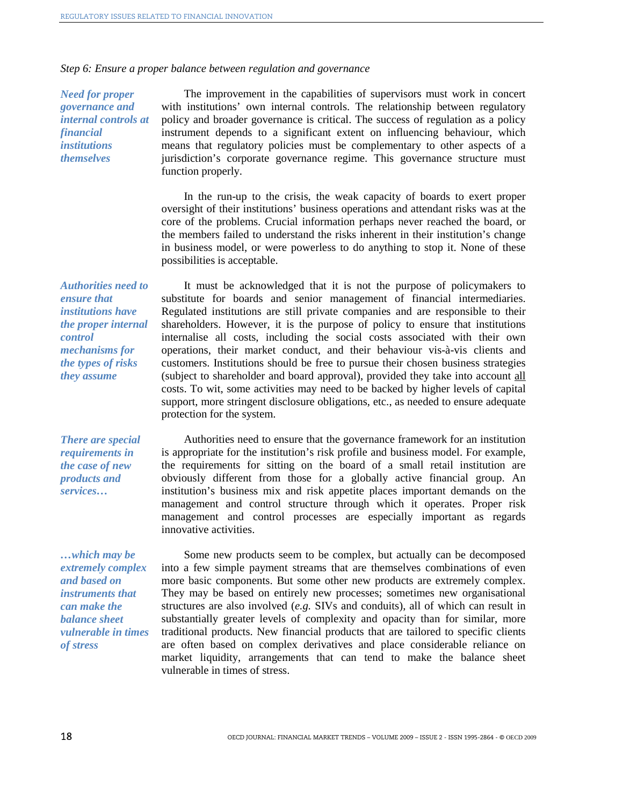*Step 6: Ensure a proper balance between regulation and governance* 

*Need for proper governance and internal controls at financial institutions themselves* 

The improvement in the capabilities of supervisors must work in concert with institutions' own internal controls. The relationship between regulatory policy and broader governance is critical. The success of regulation as a policy instrument depends to a significant extent on influencing behaviour, which means that regulatory policies must be complementary to other aspects of a jurisdiction's corporate governance regime. This governance structure must function properly.

In the run-up to the crisis, the weak capacity of boards to exert proper oversight of their institutions' business operations and attendant risks was at the core of the problems. Crucial information perhaps never reached the board, or the members failed to understand the risks inherent in their institution's change in business model, or were powerless to do anything to stop it. None of these possibilities is acceptable.

*Authorities need to ensure that institutions have the proper internal control mechanisms for the types of risks they assume*

It must be acknowledged that it is not the purpose of policymakers to substitute for boards and senior management of financial intermediaries. Regulated institutions are still private companies and are responsible to their shareholders. However, it is the purpose of policy to ensure that institutions internalise all costs, including the social costs associated with their own operations, their market conduct, and their behaviour vis-à-vis clients and customers. Institutions should be free to pursue their chosen business strategies (subject to shareholder and board approval), provided they take into account all costs. To wit, some activities may need to be backed by higher levels of capital support, more stringent disclosure obligations, etc., as needed to ensure adequate protection for the system.

*There are special requirements in the case of new products and services…* 

*…which may be extremely complex and based on instruments that can make the balance sheet vulnerable in times of stress* 

Authorities need to ensure that the governance framework for an institution is appropriate for the institution's risk profile and business model. For example, the requirements for sitting on the board of a small retail institution are obviously different from those for a globally active financial group. An institution's business mix and risk appetite places important demands on the management and control structure through which it operates. Proper risk management and control processes are especially important as regards innovative activities.

Some new products seem to be complex, but actually can be decomposed into a few simple payment streams that are themselves combinations of even more basic components. But some other new products are extremely complex. They may be based on entirely new processes; sometimes new organisational structures are also involved (*e.g.* SIVs and conduits), all of which can result in substantially greater levels of complexity and opacity than for similar, more traditional products. New financial products that are tailored to specific clients are often based on complex derivatives and place considerable reliance on market liquidity, arrangements that can tend to make the balance sheet vulnerable in times of stress.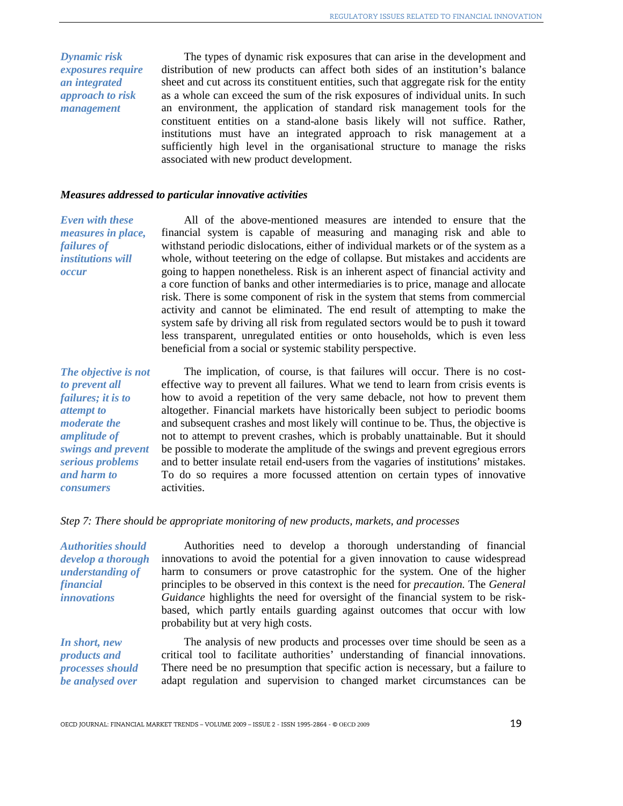*Dynamic risk exposures require an integrated approach to risk management* 

The types of dynamic risk exposures that can arise in the development and distribution of new products can affect both sides of an institution's balance sheet and cut across its constituent entities, such that aggregate risk for the entity as a whole can exceed the sum of the risk exposures of individual units. In such an environment, the application of standard risk management tools for the constituent entities on a stand-alone basis likely will not suffice. Rather, institutions must have an integrated approach to risk management at a sufficiently high level in the organisational structure to manage the risks associated with new product development.

#### *Measures addressed to particular innovative activities*

*Even with these measures in place, failures of institutions will occur* 

All of the above-mentioned measures are intended to ensure that the financial system is capable of measuring and managing risk and able to withstand periodic dislocations, either of individual markets or of the system as a whole, without teetering on the edge of collapse. But mistakes and accidents are going to happen nonetheless. Risk is an inherent aspect of financial activity and a core function of banks and other intermediaries is to price, manage and allocate risk. There is some component of risk in the system that stems from commercial activity and cannot be eliminated. The end result of attempting to make the system safe by driving all risk from regulated sectors would be to push it toward less transparent, unregulated entities or onto households, which is even less beneficial from a social or systemic stability perspective.

*The objective is not to prevent all failures; it is to attempt to moderate the amplitude of swings and prevent serious problems and harm to consumers* 

The implication, of course, is that failures will occur. There is no costeffective way to prevent all failures. What we tend to learn from crisis events is how to avoid a repetition of the very same debacle, not how to prevent them altogether. Financial markets have historically been subject to periodic booms and subsequent crashes and most likely will continue to be. Thus, the objective is not to attempt to prevent crashes, which is probably unattainable. But it should be possible to moderate the amplitude of the swings and prevent egregious errors and to better insulate retail end-users from the vagaries of institutions' mistakes. To do so requires a more focussed attention on certain types of innovative activities.

#### *Step 7: There should be appropriate monitoring of new products, markets, and processes*

*Authorities should develop a thorough understanding of financial innovations*

Authorities need to develop a thorough understanding of financial innovations to avoid the potential for a given innovation to cause widespread harm to consumers or prove catastrophic for the system. One of the higher principles to be observed in this context is the need for *precaution.* The *General Guidance* highlights the need for oversight of the financial system to be riskbased, which partly entails guarding against outcomes that occur with low probability but at very high costs.

*In short, new products and processes should be analysed over* 

The analysis of new products and processes over time should be seen as a critical tool to facilitate authorities' understanding of financial innovations. There need be no presumption that specific action is necessary, but a failure to adapt regulation and supervision to changed market circumstances can be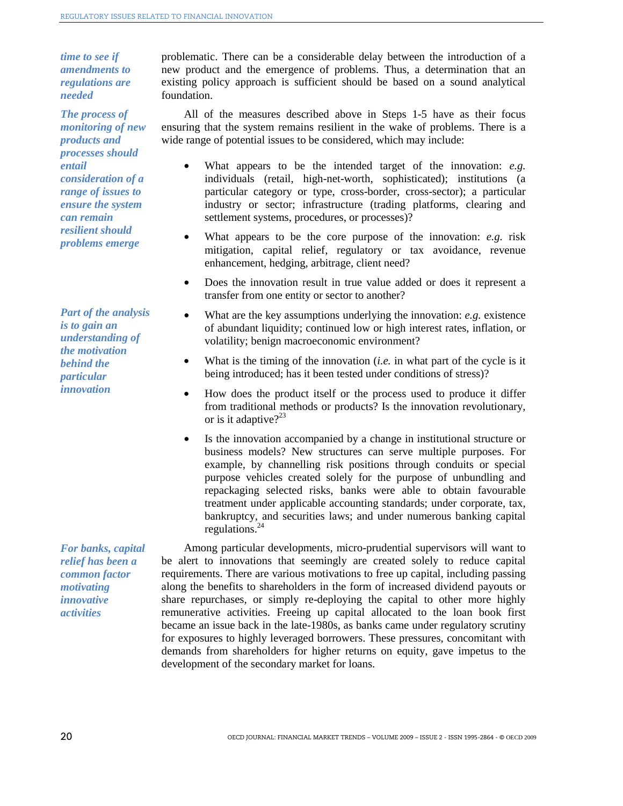*time to see if amendments to regulations are needed*

*The process of monitoring of new products and processes should entail consideration of a range of issues to ensure the system can remain resilient should problems emerge* 

*Part of the analysis is to gain an understanding of the motivation behind the particular innovation*

*For banks, capital relief has been a common factor motivating innovative activities* 

problematic. There can be a considerable delay between the introduction of a new product and the emergence of problems. Thus, a determination that an existing policy approach is sufficient should be based on a sound analytical foundation.

All of the measures described above in Steps 1-5 have as their focus ensuring that the system remains resilient in the wake of problems. There is a wide range of potential issues to be considered, which may include:

- What appears to be the intended target of the innovation: *e.g.* individuals (retail, high-net-worth, sophisticated); institutions (a particular category or type, cross-border, cross-sector); a particular industry or sector; infrastructure (trading platforms, clearing and settlement systems, procedures, or processes)?
- What appears to be the core purpose of the innovation: *e.g.* risk mitigation, capital relief, regulatory or tax avoidance, revenue enhancement, hedging, arbitrage, client need?
- Does the innovation result in true value added or does it represent a transfer from one entity or sector to another?
- What are the key assumptions underlying the innovation: *e.g.* existence of abundant liquidity; continued low or high interest rates, inflation, or volatility; benign macroeconomic environment?
- What is the timing of the innovation (*i.e.* in what part of the cycle is it being introduced; has it been tested under conditions of stress)?
- How does the product itself or the process used to produce it differ from traditional methods or products? Is the innovation revolutionary, or is it adaptive? $2^{23}$
- Is the innovation accompanied by a change in institutional structure or business models? New structures can serve multiple purposes. For example, by channelling risk positions through conduits or special purpose vehicles created solely for the purpose of unbundling and repackaging selected risks, banks were able to obtain favourable treatment under applicable accounting standards; under corporate, tax, bankruptcy, and securities laws; and under numerous banking capital regulations. $^{24}$

Among particular developments, micro-prudential supervisors will want to be alert to innovations that seemingly are created solely to reduce capital requirements. There are various motivations to free up capital, including passing along the benefits to shareholders in the form of increased dividend payouts or share repurchases, or simply re-deploying the capital to other more highly remunerative activities. Freeing up capital allocated to the loan book first became an issue back in the late-1980s, as banks came under regulatory scrutiny for exposures to highly leveraged borrowers. These pressures, concomitant with demands from shareholders for higher returns on equity, gave impetus to the development of the secondary market for loans.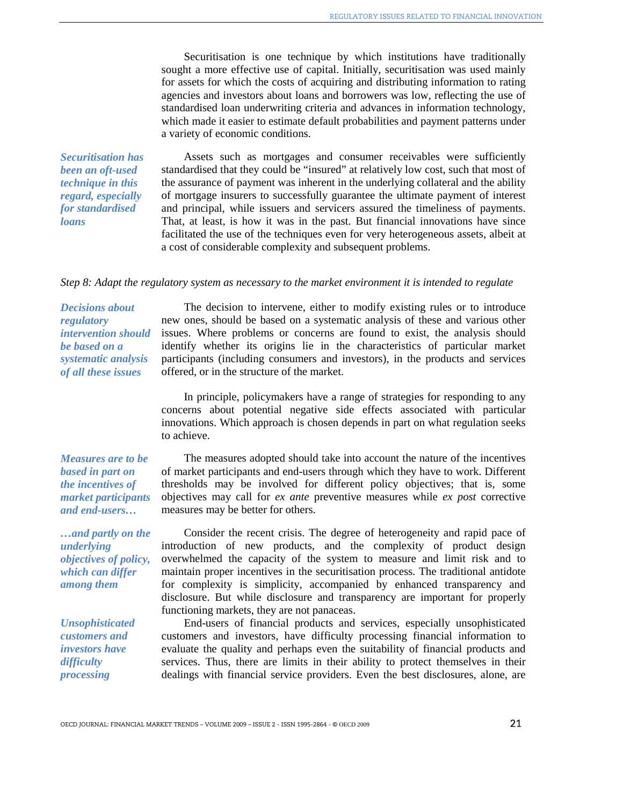Securitisation is one technique by which institutions have traditionally sought a more effective use of capital. Initially, securitisation was used mainly for assets for which the costs of acquiring and distributing information to rating agencies and investors about loans and borrowers was low, reflecting the use of standardised loan underwriting criteria and advances in information technology, which made it easier to estimate default probabilities and payment patterns under a variety of economic conditions.

*Securitisation has been an oft-used technique in this regard, especially for standardised loans* 

Assets such as mortgages and consumer receivables were sufficiently standardised that they could be "insured" at relatively low cost, such that most of the assurance of payment was inherent in the underlying collateral and the ability of mortgage insurers to successfully guarantee the ultimate payment of interest and principal, while issuers and servicers assured the timeliness of payments. That, at least, is how it was in the past. But financial innovations have since facilitated the use of the techniques even for very heterogeneous assets, albeit at a cost of considerable complexity and subsequent problems.

#### *Step 8: Adapt the regulatory system as necessary to the market environment it is intended to regulate*

*Decisions about regulatory intervention should be based on a systematic analysis of all these issues* 

The decision to intervene, either to modify existing rules or to introduce new ones, should be based on a systematic analysis of these and various other issues. Where problems or concerns are found to exist, the analysis should identify whether its origins lie in the characteristics of particular market participants (including consumers and investors), in the products and services offered, or in the structure of the market.

In principle, policymakers have a range of strategies for responding to any concerns about potential negative side effects associated with particular innovations. Which approach is chosen depends in part on what regulation seeks to achieve.

*Measures are to be based in part on the incentives of market participants and end-users…* 

*…and partly on the underlying objectives of policy, which can differ among them* 

*Unsophisticated customers and investors have difficulty processing* 

The measures adopted should take into account the nature of the incentives of market participants and end-users through which they have to work. Different thresholds may be involved for different policy objectives; that is, some objectives may call for *ex ante* preventive measures while *ex post* corrective measures may be better for others.

Consider the recent crisis. The degree of heterogeneity and rapid pace of introduction of new products, and the complexity of product design overwhelmed the capacity of the system to measure and limit risk and to maintain proper incentives in the securitisation process. The traditional antidote for complexity is simplicity, accompanied by enhanced transparency and disclosure. But while disclosure and transparency are important for properly functioning markets, they are not panaceas.

End-users of financial products and services, especially unsophisticated customers and investors, have difficulty processing financial information to evaluate the quality and perhaps even the suitability of financial products and services. Thus, there are limits in their ability to protect themselves in their dealings with financial service providers. Even the best disclosures, alone, are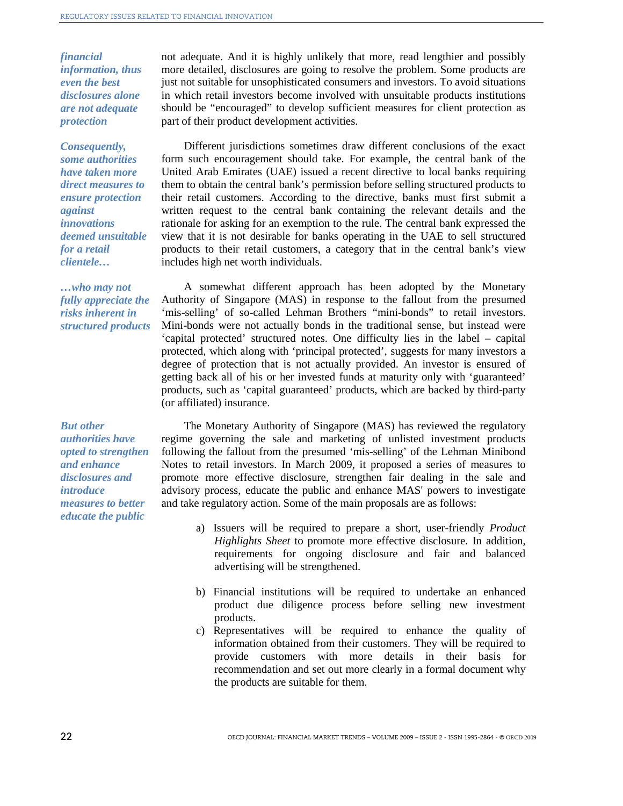*financial information, thus even the best disclosures alone are not adequate protection* 

*Consequently, some authorities have taken more direct measures to ensure protection against innovations deemed unsuitable for a retail clientele…* 

*…who may not fully appreciate the risks inherent in structured products* 

*But other authorities have opted to strengthen and enhance disclosures and introduce measures to better educate the public* 

not adequate. And it is highly unlikely that more, read lengthier and possibly more detailed, disclosures are going to resolve the problem. Some products are just not suitable for unsophisticated consumers and investors. To avoid situations in which retail investors become involved with unsuitable products institutions should be "encouraged" to develop sufficient measures for client protection as part of their product development activities.

Different jurisdictions sometimes draw different conclusions of the exact form such encouragement should take. For example, the central bank of the United Arab Emirates (UAE) issued a recent directive to local banks requiring them to obtain the central bank's permission before selling structured products to their retail customers. According to the directive, banks must first submit a written request to the central bank containing the relevant details and the rationale for asking for an exemption to the rule. The central bank expressed the view that it is not desirable for banks operating in the UAE to sell structured products to their retail customers, a category that in the central bank's view includes high net worth individuals.

A somewhat different approach has been adopted by the Monetary Authority of Singapore (MAS) in response to the fallout from the presumed 'mis-selling' of so-called Lehman Brothers "mini-bonds" to retail investors. Mini-bonds were not actually bonds in the traditional sense, but instead were 'capital protected' structured notes. One difficulty lies in the label – capital protected, which along with 'principal protected', suggests for many investors a degree of protection that is not actually provided. An investor is ensured of getting back all of his or her invested funds at maturity only with 'guaranteed' products, such as 'capital guaranteed' products, which are backed by third-party (or affiliated) insurance.

The Monetary Authority of Singapore (MAS) has reviewed the regulatory regime governing the sale and marketing of unlisted investment products following the fallout from the presumed 'mis-selling' of the Lehman Minibond Notes to retail investors. In March 2009, it proposed a series of measures to promote more effective disclosure, strengthen fair dealing in the sale and advisory process, educate the public and enhance MAS' powers to investigate and take regulatory action. Some of the main proposals are as follows:

- a) Issuers will be required to prepare a short, user-friendly *Product Highlights Sheet* to promote more effective disclosure. In addition, requirements for ongoing disclosure and fair and balanced advertising will be strengthened.
- b) Financial institutions will be required to undertake an enhanced product due diligence process before selling new investment products.
- c) Representatives will be required to enhance the quality of information obtained from their customers. They will be required to provide customers with more details in their basis for recommendation and set out more clearly in a formal document why the products are suitable for them.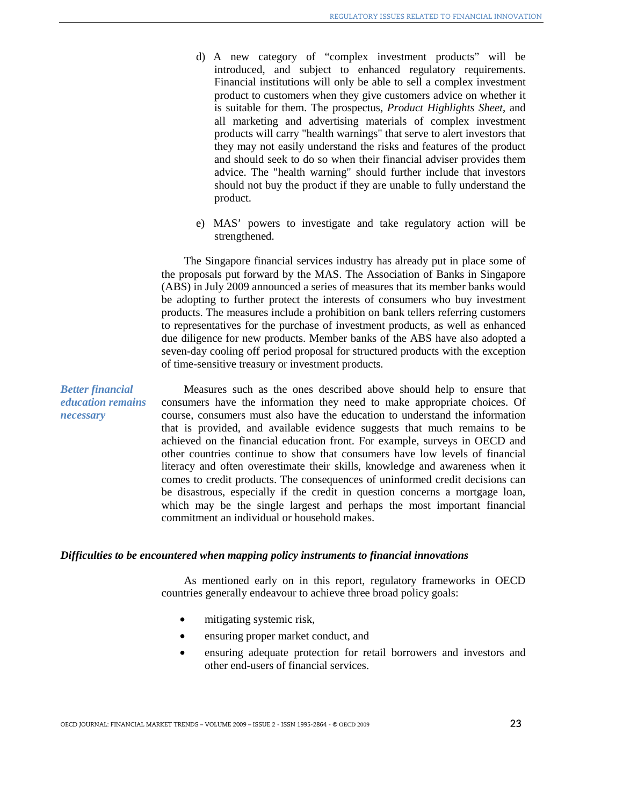- d) A new category of "complex investment products" will be introduced, and subject to enhanced regulatory requirements. Financial institutions will only be able to sell a complex investment product to customers when they give customers advice on whether it is suitable for them. The prospectus, *Product Highlights Sheet*, and all marketing and advertising materials of complex investment products will carry "health warnings" that serve to alert investors that they may not easily understand the risks and features of the product and should seek to do so when their financial adviser provides them advice. The "health warning" should further include that investors should not buy the product if they are unable to fully understand the product.
- e) MAS' powers to investigate and take regulatory action will be strengthened.

The Singapore financial services industry has already put in place some of the proposals put forward by the MAS. The Association of Banks in Singapore (ABS) in July 2009 announced a series of measures that its member banks would be adopting to further protect the interests of consumers who buy investment products. The measures include a prohibition on bank tellers referring customers to representatives for the purchase of investment products, as well as enhanced due diligence for new products. Member banks of the ABS have also adopted a seven-day cooling off period proposal for structured products with the exception of time-sensitive treasury or investment products.

Measures such as the ones described above should help to ensure that consumers have the information they need to make appropriate choices. Of course, consumers must also have the education to understand the information that is provided, and available evidence suggests that much remains to be achieved on the financial education front. For example, surveys in OECD and other countries continue to show that consumers have low levels of financial literacy and often overestimate their skills, knowledge and awareness when it comes to credit products. The consequences of uninformed credit decisions can be disastrous, especially if the credit in question concerns a mortgage loan, which may be the single largest and perhaps the most important financial commitment an individual or household makes.

#### *Difficulties to be encountered when mapping policy instruments to financial innovations*

As mentioned early on in this report, regulatory frameworks in OECD countries generally endeavour to achieve three broad policy goals:

- mitigating systemic risk,
- ensuring proper market conduct, and
- ensuring adequate protection for retail borrowers and investors and other end-users of financial services.

*Better financial education remains necessary*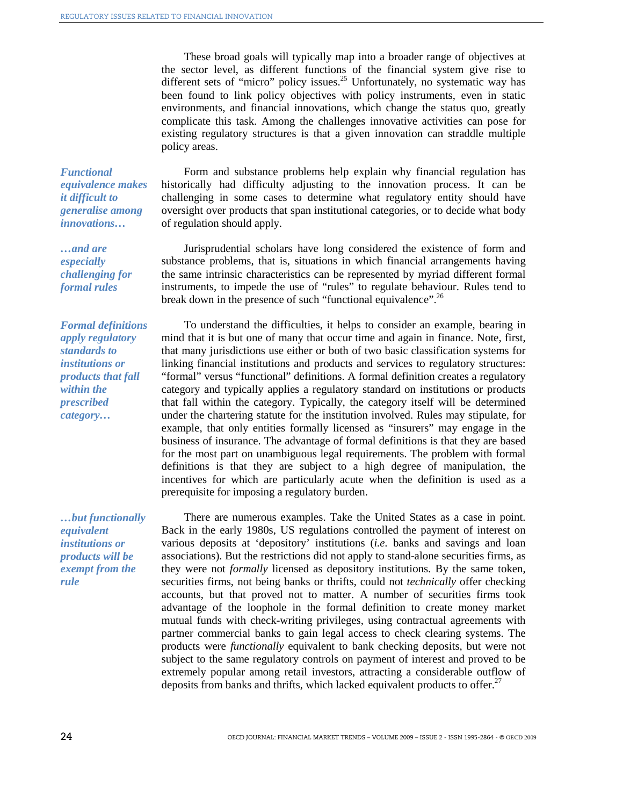These broad goals will typically map into a broader range of objectives at the sector level, as different functions of the financial system give rise to different sets of "micro" policy issues.<sup>25</sup> Unfortunately, no systematic way has been found to link policy objectives with policy instruments, even in static environments, and financial innovations, which change the status quo, greatly complicate this task. Among the challenges innovative activities can pose for existing regulatory structures is that a given innovation can straddle multiple policy areas.

*Functional equivalence makes it difficult to generalise among innovations…* 

*…and are especially challenging for formal rules* 

*Formal definitions apply regulatory standards to institutions or products that fall within the prescribed category…* 

*…but functionally equivalent institutions or products will be exempt from the rule* 

Form and substance problems help explain why financial regulation has historically had difficulty adjusting to the innovation process. It can be challenging in some cases to determine what regulatory entity should have oversight over products that span institutional categories, or to decide what body of regulation should apply.

Jurisprudential scholars have long considered the existence of form and substance problems, that is, situations in which financial arrangements having the same intrinsic characteristics can be represented by myriad different formal instruments, to impede the use of "rules" to regulate behaviour. Rules tend to break down in the presence of such "functional equivalence".<sup>26</sup>

To understand the difficulties, it helps to consider an example, bearing in mind that it is but one of many that occur time and again in finance. Note, first, that many jurisdictions use either or both of two basic classification systems for linking financial institutions and products and services to regulatory structures: "formal" versus "functional" definitions. A formal definition creates a regulatory category and typically applies a regulatory standard on institutions or products that fall within the category. Typically, the category itself will be determined under the chartering statute for the institution involved. Rules may stipulate, for example, that only entities formally licensed as "insurers" may engage in the business of insurance. The advantage of formal definitions is that they are based for the most part on unambiguous legal requirements. The problem with formal definitions is that they are subject to a high degree of manipulation, the incentives for which are particularly acute when the definition is used as a prerequisite for imposing a regulatory burden.

There are numerous examples. Take the United States as a case in point. Back in the early 1980s, US regulations controlled the payment of interest on various deposits at 'depository' institutions (*i.e.* banks and savings and loan associations). But the restrictions did not apply to stand-alone securities firms, as they were not *formally* licensed as depository institutions. By the same token, securities firms, not being banks or thrifts, could not *technically* offer checking accounts, but that proved not to matter. A number of securities firms took advantage of the loophole in the formal definition to create money market mutual funds with check-writing privileges, using contractual agreements with partner commercial banks to gain legal access to check clearing systems. The products were *functionally* equivalent to bank checking deposits, but were not subject to the same regulatory controls on payment of interest and proved to be extremely popular among retail investors, attracting a considerable outflow of deposits from banks and thrifts, which lacked equivalent products to offer.<sup>27</sup>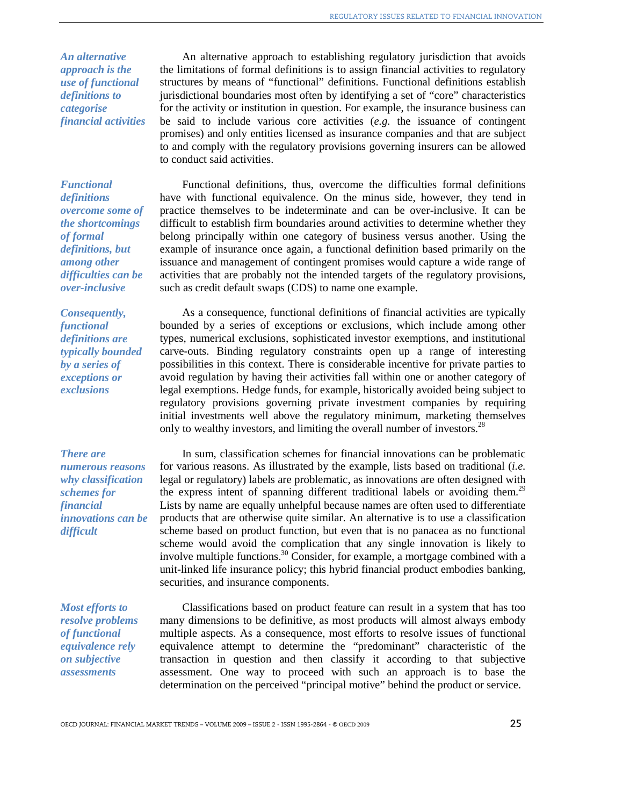*An alternative approach is the use of functional definitions to categorise financial activities* 

*Functional definitions overcome some of the shortcomings of formal definitions, but among other difficulties can be over-inclusive* 

*Consequently, functional definitions are typically bounded by a series of exceptions or exclusions* 

*There are numerous reasons why classification schemes for financial innovations can be difficult* 

*Most efforts to resolve problems of functional equivalence rely on subjective assessments* 

An alternative approach to establishing regulatory jurisdiction that avoids the limitations of formal definitions is to assign financial activities to regulatory structures by means of "functional" definitions. Functional definitions establish jurisdictional boundaries most often by identifying a set of "core" characteristics for the activity or institution in question. For example, the insurance business can be said to include various core activities (*e.g.* the issuance of contingent promises) and only entities licensed as insurance companies and that are subject to and comply with the regulatory provisions governing insurers can be allowed to conduct said activities.

Functional definitions, thus, overcome the difficulties formal definitions have with functional equivalence. On the minus side, however, they tend in practice themselves to be indeterminate and can be over-inclusive. It can be difficult to establish firm boundaries around activities to determine whether they belong principally within one category of business versus another. Using the example of insurance once again, a functional definition based primarily on the issuance and management of contingent promises would capture a wide range of activities that are probably not the intended targets of the regulatory provisions, such as credit default swaps (CDS) to name one example.

As a consequence, functional definitions of financial activities are typically bounded by a series of exceptions or exclusions, which include among other types, numerical exclusions, sophisticated investor exemptions, and institutional carve-outs. Binding regulatory constraints open up a range of interesting possibilities in this context. There is considerable incentive for private parties to avoid regulation by having their activities fall within one or another category of legal exemptions. Hedge funds, for example, historically avoided being subject to regulatory provisions governing private investment companies by requiring initial investments well above the regulatory minimum, marketing themselves only to wealthy investors, and limiting the overall number of investors.<sup>28</sup>

In sum, classification schemes for financial innovations can be problematic for various reasons. As illustrated by the example, lists based on traditional (*i.e.* legal or regulatory) labels are problematic, as innovations are often designed with the express intent of spanning different traditional labels or avoiding them.<sup>29</sup> Lists by name are equally unhelpful because names are often used to differentiate products that are otherwise quite similar. An alternative is to use a classification scheme based on product function, but even that is no panacea as no functional scheme would avoid the complication that any single innovation is likely to involve multiple functions.<sup>30</sup> Consider, for example, a mortgage combined with a unit-linked life insurance policy; this hybrid financial product embodies banking, securities, and insurance components.

Classifications based on product feature can result in a system that has too many dimensions to be definitive, as most products will almost always embody multiple aspects. As a consequence, most efforts to resolve issues of functional equivalence attempt to determine the "predominant" characteristic of the transaction in question and then classify it according to that subjective assessment. One way to proceed with such an approach is to base the determination on the perceived "principal motive" behind the product or service.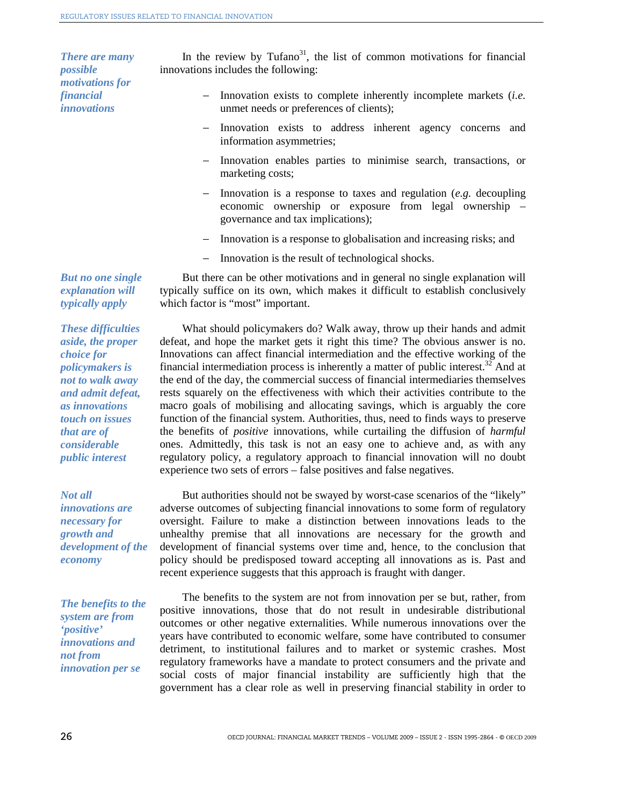*There are many possible motivations for financial innovations* 

In the review by Tufano<sup>31</sup>, the list of common motivations for financial innovations includes the following:

- − Innovation exists to complete inherently incomplete markets (*i.e.* unmet needs or preferences of clients);
- Innovation exists to address inherent agency concerns and information asymmetries;
- − Innovation enables parties to minimise search, transactions, or marketing costs;
- − Innovation is a response to taxes and regulation (*e.g.* decoupling economic ownership or exposure from legal ownership – governance and tax implications);
- Innovation is a response to globalisation and increasing risks; and
- − Innovation is the result of technological shocks.

But there can be other motivations and in general no single explanation will typically suffice on its own, which makes it difficult to establish conclusively which factor is "most" important.

*These difficulties aside, the proper choice for policymakers is not to walk away and admit defeat, as innovations touch on issues that are of considerable public interest* 

*But no one single explanation will typically apply* 

*Not all innovations are necessary for growth and development of the economy* 

*The benefits to the system are from 'positive' innovations and not from innovation per se*

What should policymakers do? Walk away, throw up their hands and admit defeat, and hope the market gets it right this time? The obvious answer is no. Innovations can affect financial intermediation and the effective working of the financial intermediation process is inherently a matter of public interest.<sup>32</sup> And at the end of the day, the commercial success of financial intermediaries themselves rests squarely on the effectiveness with which their activities contribute to the macro goals of mobilising and allocating savings, which is arguably the core function of the financial system. Authorities, thus, need to finds ways to preserve the benefits of *positive* innovations, while curtailing the diffusion of *harmful* ones. Admittedly, this task is not an easy one to achieve and, as with any regulatory policy, a regulatory approach to financial innovation will no doubt experience two sets of errors – false positives and false negatives.

But authorities should not be swayed by worst-case scenarios of the "likely" adverse outcomes of subjecting financial innovations to some form of regulatory oversight. Failure to make a distinction between innovations leads to the unhealthy premise that all innovations are necessary for the growth and development of financial systems over time and, hence, to the conclusion that policy should be predisposed toward accepting all innovations as is. Past and recent experience suggests that this approach is fraught with danger.

The benefits to the system are not from innovation per se but, rather, from positive innovations, those that do not result in undesirable distributional outcomes or other negative externalities. While numerous innovations over the years have contributed to economic welfare, some have contributed to consumer detriment, to institutional failures and to market or systemic crashes. Most regulatory frameworks have a mandate to protect consumers and the private and social costs of major financial instability are sufficiently high that the government has a clear role as well in preserving financial stability in order to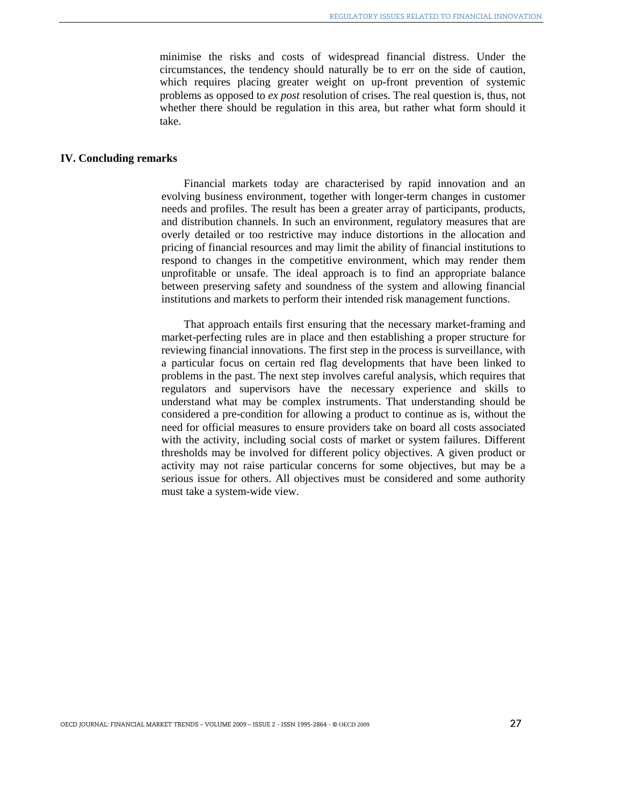minimise the risks and costs of widespread financial distress. Under the circumstances, the tendency should naturally be to err on the side of caution, which requires placing greater weight on up-front prevention of systemic problems as opposed to *ex post* resolution of crises. The real question is, thus, not whether there should be regulation in this area, but rather what form should it take.

#### **IV. Concluding remarks**

Financial markets today are characterised by rapid innovation and an evolving business environment, together with longer-term changes in customer needs and profiles. The result has been a greater array of participants, products, and distribution channels. In such an environment, regulatory measures that are overly detailed or too restrictive may induce distortions in the allocation and pricing of financial resources and may limit the ability of financial institutions to respond to changes in the competitive environment, which may render them unprofitable or unsafe. The ideal approach is to find an appropriate balance between preserving safety and soundness of the system and allowing financial institutions and markets to perform their intended risk management functions.

That approach entails first ensuring that the necessary market-framing and market-perfecting rules are in place and then establishing a proper structure for reviewing financial innovations. The first step in the process is surveillance, with a particular focus on certain red flag developments that have been linked to problems in the past. The next step involves careful analysis, which requires that regulators and supervisors have the necessary experience and skills to understand what may be complex instruments. That understanding should be considered a pre-condition for allowing a product to continue as is, without the need for official measures to ensure providers take on board all costs associated with the activity, including social costs of market or system failures. Different thresholds may be involved for different policy objectives. A given product or activity may not raise particular concerns for some objectives, but may be a serious issue for others. All objectives must be considered and some authority must take a system-wide view.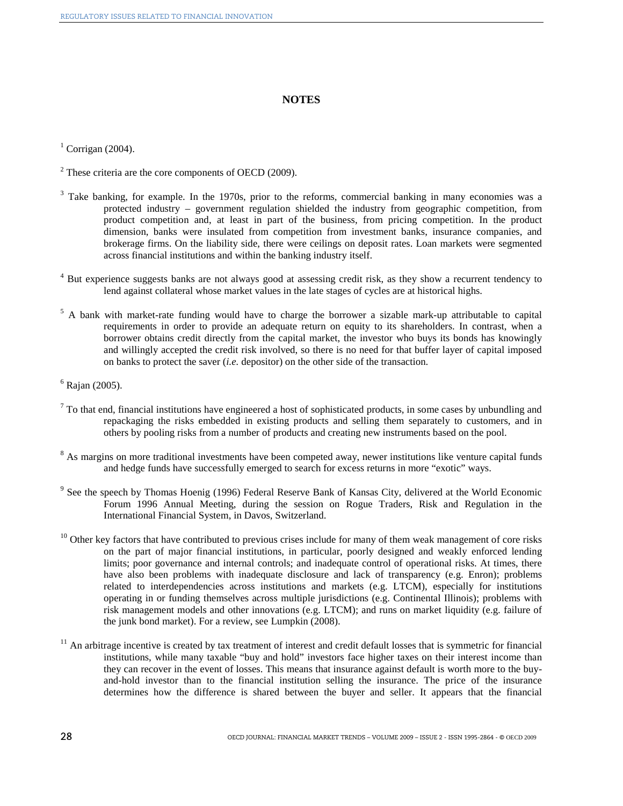#### **NOTES**

 $<sup>1</sup>$  Corrigan (2004).</sup>

- $2^2$  These criteria are the core components of OECD (2009).
- <sup>3</sup> Take banking, for example. In the 1970s, prior to the reforms, commercial banking in many economies was a protected industry – government regulation shielded the industry from geographic competition, from product competition and, at least in part of the business, from pricing competition. In the product dimension, banks were insulated from competition from investment banks, insurance companies, and brokerage firms. On the liability side, there were ceilings on deposit rates. Loan markets were segmented across financial institutions and within the banking industry itself.
- <sup>4</sup> But experience suggests banks are not always good at assessing credit risk, as they show a recurrent tendency to lend against collateral whose market values in the late stages of cycles are at historical highs.
- <sup>5</sup> A bank with market-rate funding would have to charge the borrower a sizable mark-up attributable to capital requirements in order to provide an adequate return on equity to its shareholders. In contrast, when a borrower obtains credit directly from the capital market, the investor who buys its bonds has knowingly and willingly accepted the credit risk involved, so there is no need for that buffer layer of capital imposed on banks to protect the saver (*i.e.* depositor) on the other side of the transaction.
- 6 Rajan (2005).
- $7$  To that end, financial institutions have engineered a host of sophisticated products, in some cases by unbundling and repackaging the risks embedded in existing products and selling them separately to customers, and in others by pooling risks from a number of products and creating new instruments based on the pool.
- <sup>8</sup> As margins on more traditional investments have been competed away, newer institutions like venture capital funds and hedge funds have successfully emerged to search for excess returns in more "exotic" ways.
- <sup>9</sup> See the speech by Thomas Hoenig (1996) Federal Reserve Bank of Kansas City, delivered at the World Economic Forum 1996 Annual Meeting, during the session on Rogue Traders, Risk and Regulation in the International Financial System, in Davos, Switzerland.
- $10$  Other key factors that have contributed to previous crises include for many of them weak management of core risks on the part of major financial institutions, in particular, poorly designed and weakly enforced lending limits; poor governance and internal controls; and inadequate control of operational risks. At times, there have also been problems with inadequate disclosure and lack of transparency (e.g. Enron); problems related to interdependencies across institutions and markets (e.g. LTCM), especially for institutions operating in or funding themselves across multiple jurisdictions (e.g. Continental Illinois); problems with risk management models and other innovations (e.g. LTCM); and runs on market liquidity (e.g. failure of the junk bond market). For a review, see Lumpkin (2008).
- $11$  An arbitrage incentive is created by tax treatment of interest and credit default losses that is symmetric for financial institutions, while many taxable "buy and hold" investors face higher taxes on their interest income than they can recover in the event of losses. This means that insurance against default is worth more to the buyand-hold investor than to the financial institution selling the insurance. The price of the insurance determines how the difference is shared between the buyer and seller. It appears that the financial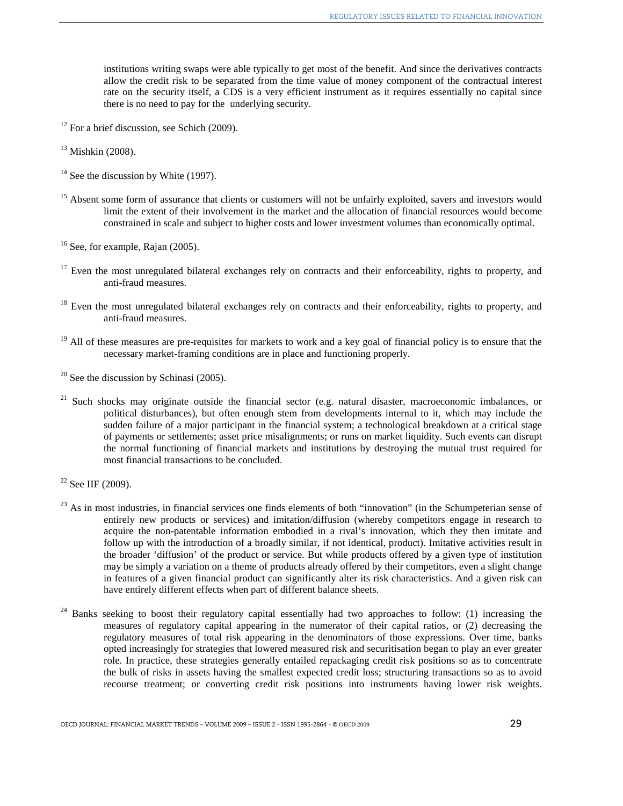institutions writing swaps were able typically to get most of the benefit. And since the derivatives contracts allow the credit risk to be separated from the time value of money component of the contractual interest rate on the security itself, a CDS is a very efficient instrument as it requires essentially no capital since there is no need to pay for the underlying security.

- $12$  For a brief discussion, see Schich (2009).
- $13$  Mishkin (2008).
- $14$  See the discussion by White (1997).
- <sup>15</sup> Absent some form of assurance that clients or customers will not be unfairly exploited, savers and investors would limit the extent of their involvement in the market and the allocation of financial resources would become constrained in scale and subject to higher costs and lower investment volumes than economically optimal.
- $16$  See, for example, Rajan (2005).
- $17$  Even the most unregulated bilateral exchanges rely on contracts and their enforceability, rights to property, and anti-fraud measures.
- $18$  Even the most unregulated bilateral exchanges rely on contracts and their enforceability, rights to property, and anti-fraud measures.
- $19$  All of these measures are pre-requisites for markets to work and a key goal of financial policy is to ensure that the necessary market-framing conditions are in place and functioning properly.
- $20$  See the discussion by Schinasi (2005).
- <sup>21</sup> Such shocks may originate outside the financial sector (e.g. natural disaster, macroeconomic imbalances, or political disturbances), but often enough stem from developments internal to it, which may include the sudden failure of a major participant in the financial system; a technological breakdown at a critical stage of payments or settlements; asset price misalignments; or runs on market liquidity. Such events can disrupt the normal functioning of financial markets and institutions by destroying the mutual trust required for most financial transactions to be concluded.

- $^{23}$  As in most industries, in financial services one finds elements of both "innovation" (in the Schumpeterian sense of entirely new products or services) and imitation/diffusion (whereby competitors engage in research to acquire the non-patentable information embodied in a rival's innovation, which they then imitate and follow up with the introduction of a broadly similar, if not identical, product). Imitative activities result in the broader 'diffusion' of the product or service. But while products offered by a given type of institution may be simply a variation on a theme of products already offered by their competitors, even a slight change in features of a given financial product can significantly alter its risk characteristics. And a given risk can have entirely different effects when part of different balance sheets.
- <sup>24</sup> Banks seeking to boost their regulatory capital essentially had two approaches to follow: (1) increasing the measures of regulatory capital appearing in the numerator of their capital ratios, or (2) decreasing the regulatory measures of total risk appearing in the denominators of those expressions. Over time, banks opted increasingly for strategies that lowered measured risk and securitisation began to play an ever greater role. In practice, these strategies generally entailed repackaging credit risk positions so as to concentrate the bulk of risks in assets having the smallest expected credit loss; structuring transactions so as to avoid recourse treatment; or converting credit risk positions into instruments having lower risk weights.

 $22$  See IIF (2009).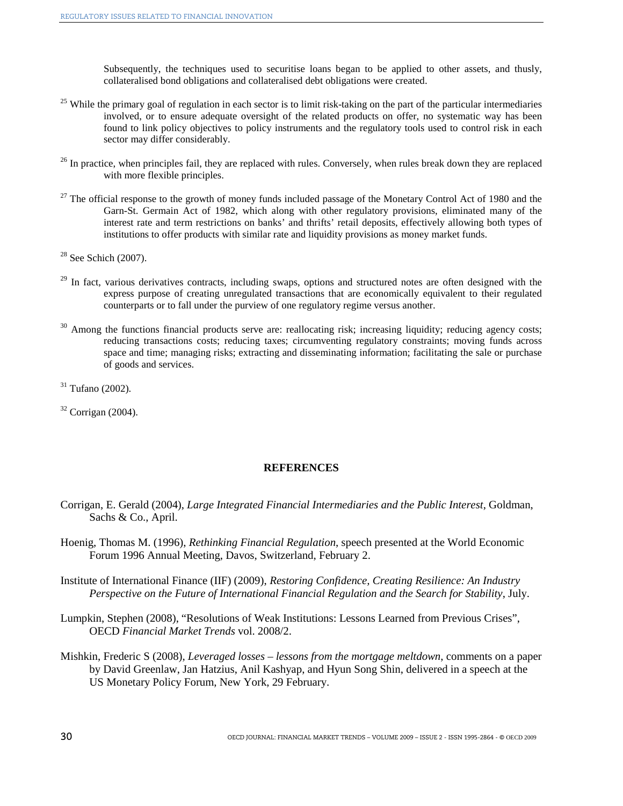Subsequently, the techniques used to securitise loans began to be applied to other assets, and thusly, collateralised bond obligations and collateralised debt obligations were created.

- $25$  While the primary goal of regulation in each sector is to limit risk-taking on the part of the particular intermediaries involved, or to ensure adequate oversight of the related products on offer, no systematic way has been found to link policy objectives to policy instruments and the regulatory tools used to control risk in each sector may differ considerably.
- <sup>26</sup> In practice, when principles fail, they are replaced with rules. Conversely, when rules break down they are replaced with more flexible principles.
- $27$  The official response to the growth of money funds included passage of the Monetary Control Act of 1980 and the Garn-St. Germain Act of 1982, which along with other regulatory provisions, eliminated many of the interest rate and term restrictions on banks' and thrifts' retail deposits, effectively allowing both types of institutions to offer products with similar rate and liquidity provisions as money market funds.

 $28$  See Schich (2007).

- $29$  In fact, various derivatives contracts, including swaps, options and structured notes are often designed with the express purpose of creating unregulated transactions that are economically equivalent to their regulated counterparts or to fall under the purview of one regulatory regime versus another.
- <sup>30</sup> Among the functions financial products serve are: reallocating risk; increasing liquidity; reducing agency costs; reducing transactions costs; reducing taxes; circumventing regulatory constraints; moving funds across space and time; managing risks; extracting and disseminating information; facilitating the sale or purchase of goods and services.

 $31$  Tufano (2002).

 $32$  Corrigan (2004).

#### **REFERENCES**

- Corrigan, E. Gerald (2004), *Large Integrated Financial Intermediaries and the Public Interest*, Goldman, Sachs & Co., April.
- Hoenig, Thomas M. (1996), *Rethinking Financial Regulation*, speech presented at the World Economic Forum 1996 Annual Meeting, Davos, Switzerland, February 2.
- Institute of International Finance (IIF) (2009), *Restoring Confidence, Creating Resilience: An Industry Perspective on the Future of International Financial Regulation and the Search for Stability*, July.
- Lumpkin, Stephen (2008), "Resolutions of Weak Institutions: Lessons Learned from Previous Crises", OECD *Financial Market Trends* vol. 2008/2.
- Mishkin, Frederic S (2008), *Leveraged losses lessons from the mortgage meltdown*, comments on a paper by David Greenlaw, Jan Hatzius, Anil Kashyap, and Hyun Song Shin, delivered in a speech at the US Monetary Policy Forum, New York, 29 February.